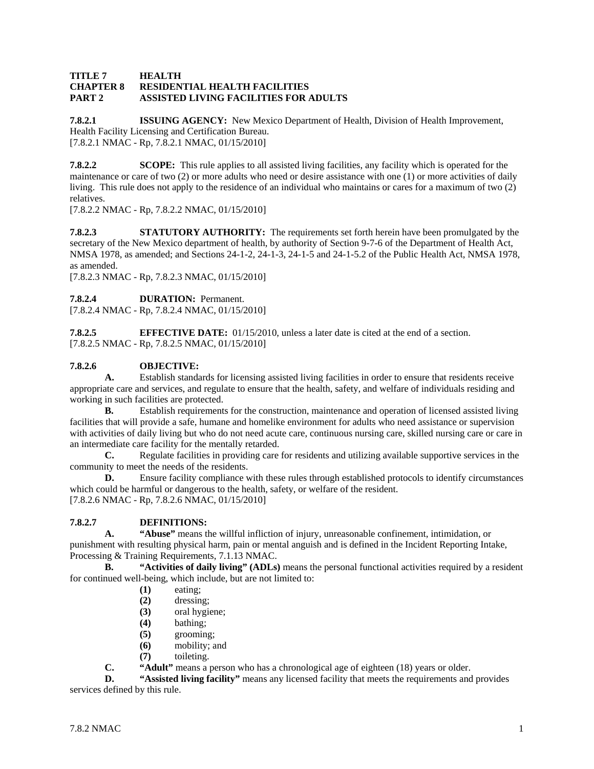#### **TITLE 7 HEALTH CHAPTER 8 RESIDENTIAL HEALTH FACILITIES PART 2 ASSISTED LIVING FACILITIES FOR ADULTS**

**7.8.2.1 ISSUING AGENCY:** New Mexico Department of Health, Division of Health Improvement, Health Facility Licensing and Certification Bureau. [7.8.2.1 NMAC - Rp, 7.8.2.1 NMAC, 01/15/2010]

**7.8.2.2 SCOPE:** This rule applies to all assisted living facilities, any facility which is operated for the maintenance or care of two (2) or more adults who need or desire assistance with one (1) or more activities of daily living. This rule does not apply to the residence of an individual who maintains or cares for a maximum of two (2) relatives.

[7.8.2.2 NMAC - Rp, 7.8.2.2 NMAC, 01/15/2010]

**7.8.2.3 STATUTORY AUTHORITY:** The requirements set forth herein have been promulgated by the secretary of the New Mexico department of health, by authority of Section 9-7-6 of the Department of Health Act, NMSA 1978, as amended; and Sections 24-1-2, 24-1-3, 24-1-5 and 24-1-5.2 of the Public Health Act, NMSA 1978, as amended.

[7.8.2.3 NMAC - Rp, 7.8.2.3 NMAC, 01/15/2010]

**7.8.2.4 DURATION:** Permanent.

[7.8.2.4 NMAC - Rp, 7.8.2.4 NMAC, 01/15/2010]

**7.8.2.5 EFFECTIVE DATE:** 01/15/2010, unless a later date is cited at the end of a section. [7.8.2.5 NMAC - Rp, 7.8.2.5 NMAC, 01/15/2010]

### **7.8.2.6 OBJECTIVE:**

**A.** Establish standards for licensing assisted living facilities in order to ensure that residents receive appropriate care and services, and regulate to ensure that the health, safety, and welfare of individuals residing and working in such facilities are protected.

**B.** Establish requirements for the construction, maintenance and operation of licensed assisted living facilities that will provide a safe, humane and homelike environment for adults who need assistance or supervision with activities of daily living but who do not need acute care, continuous nursing care, skilled nursing care or care in an intermediate care facility for the mentally retarded.

**C.** Regulate facilities in providing care for residents and utilizing available supportive services in the community to meet the needs of the residents.

**D.** Ensure facility compliance with these rules through established protocols to identify circumstances which could be harmful or dangerous to the health, safety, or welfare of the resident. [7.8.2.6 NMAC - Rp, 7.8.2.6 NMAC, 01/15/2010]

# **7.8.2.7 DEFINITIONS:**<br>**A.** "Abuse" means the

**A. "Abuse"** means the willful infliction of injury, unreasonable confinement, intimidation, or punishment with resulting physical harm, pain or mental anguish and is defined in the Incident Reporting Intake, Processing & Training Requirements, 7.1.13 NMAC.

**B. "Activities of daily living" (ADLs)** means the personal functional activities required by a resident for continued well-being, which include, but are not limited to:

- **(1)** eating;
- **(2)** dressing;
- **(3)** oral hygiene;
- **(4)** bathing;
- **(5)** grooming;
- **(6)** mobility; and
- **(7)** toileting.

**C. "Adult"** means a person who has a chronological age of eighteen (18) years or older.<br>**D. "Assisted living facility"** means any licensed facility that meets the requirements and

"Assisted living facility" means any licensed facility that meets the requirements and provides services defined by this rule.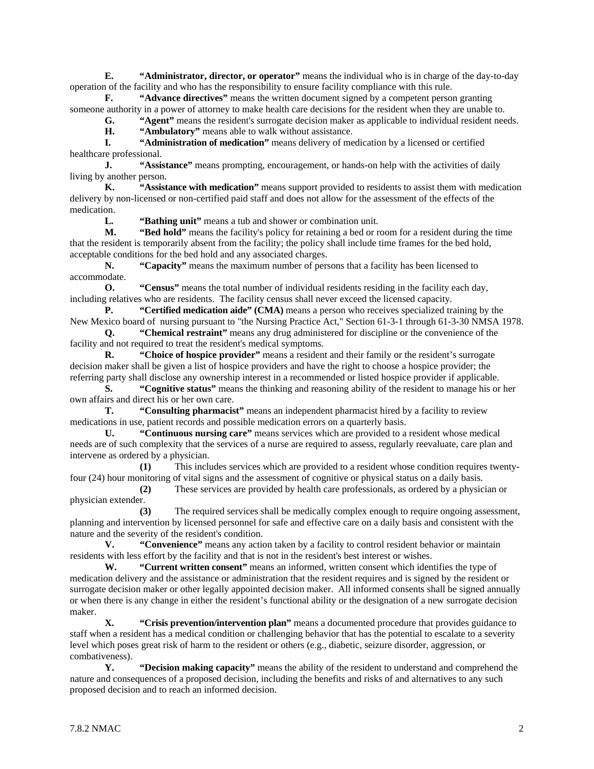**E. "Administrator, director, or operator"** means the individual who is in charge of the day-to-day operation of the facility and who has the responsibility to ensure facility compliance with this rule.

**F. "Advance directives"** means the written document signed by a competent person granting someone authority in a power of attorney to make health care decisions for the resident when they are unable to.

**G. "Agent"** means the resident's surrogate decision maker as applicable to individual resident needs.

**H. "Ambulatory"** means able to walk without assistance.

**I. "Administration of medication"** means delivery of medication by a licensed or certified healthcare professional.

**J. "Assistance"** means prompting, encouragement, or hands-on help with the activities of daily living by another person.

**K. "Assistance with medication"** means support provided to residents to assist them with medication delivery by non-licensed or non-certified paid staff and does not allow for the assessment of the effects of the medication.

**L. "Bathing unit"** means a tub and shower or combination unit.

**M. "Bed hold"** means the facility's policy for retaining a bed or room for a resident during the time that the resident is temporarily absent from the facility; the policy shall include time frames for the bed hold, acceptable conditions for the bed hold and any associated charges.

**N. "Capacity"** means the maximum number of persons that a facility has been licensed to accommodate.

**O. "Census"** means the total number of individual residents residing in the facility each day, including relatives who are residents. The facility census shall never exceed the licensed capacity.

**P. "Certified medication aide" (CMA)** means a person who receives specialized training by the New Mexico board of nursing pursuant to "the Nursing Practice Act," Section 61-3-1 through 61-3-30 NMSA 1978.

**Q. "Chemical restraint"** means any drug administered for discipline or the convenience of the facility and not required to treat the resident's medical symptoms.

**R. "Choice of hospice provider"** means a resident and their family or the resident's surrogate decision maker shall be given a list of hospice providers and have the right to choose a hospice provider; the referring party shall disclose any ownership interest in a recommended or listed hospice provider if applicable.

**S. "Cognitive status"** means the thinking and reasoning ability of the resident to manage his or her own affairs and direct his or her own care.

**T. "Consulting pharmacist"** means an independent pharmacist hired by a facility to review medications in use, patient records and possible medication errors on a quarterly basis.

**U. "Continuous nursing care"** means services which are provided to a resident whose medical needs are of such complexity that the services of a nurse are required to assess, regularly reevaluate, care plan and intervene as ordered by a physician.

**(1)** This includes services which are provided to a resident whose condition requires twentyfour (24) hour monitoring of vital signs and the assessment of cognitive or physical status on a daily basis.

**(2)** These services are provided by health care professionals, as ordered by a physician or physician extender.

**(3)** The required services shall be medically complex enough to require ongoing assessment, planning and intervention by licensed personnel for safe and effective care on a daily basis and consistent with the nature and the severity of the resident's condition.

**V. "Convenience"** means any action taken by a facility to control resident behavior or maintain residents with less effort by the facility and that is not in the resident's best interest or wishes.

**W. "Current written consent"** means an informed, written consent which identifies the type of medication delivery and the assistance or administration that the resident requires and is signed by the resident or surrogate decision maker or other legally appointed decision maker. All informed consents shall be signed annually or when there is any change in either the resident's functional ability or the designation of a new surrogate decision maker.

**X. "Crisis prevention/intervention plan"** means a documented procedure that provides guidance to staff when a resident has a medical condition or challenging behavior that has the potential to escalate to a severity level which poses great risk of harm to the resident or others (e.g., diabetic, seizure disorder, aggression, or combativeness).

**Y. "Decision making capacity"** means the ability of the resident to understand and comprehend the nature and consequences of a proposed decision, including the benefits and risks of and alternatives to any such proposed decision and to reach an informed decision.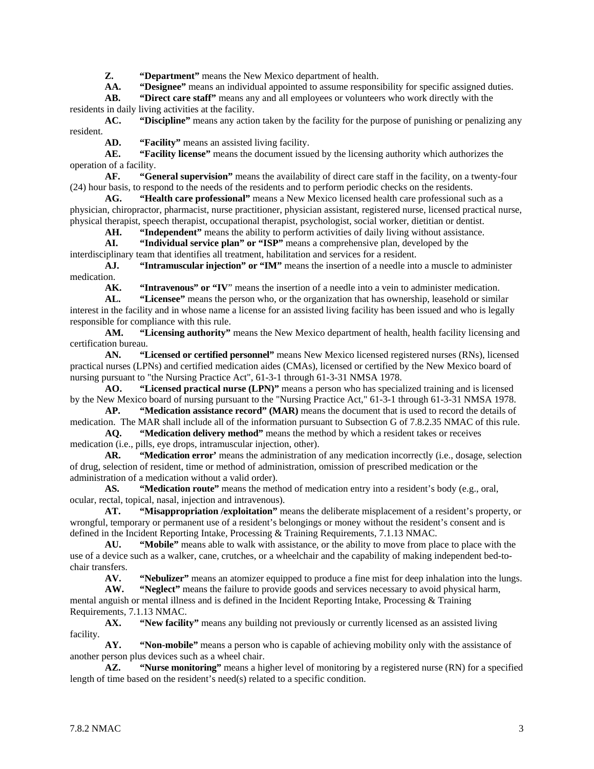**Z. "Department"** means the New Mexico department of health.

**AA. "Designee"** means an individual appointed to assume responsibility for specific assigned duties.

**AB. "Direct care staff"** means any and all employees or volunteers who work directly with the residents in daily living activities at the facility.

**AC. "Discipline"** means any action taken by the facility for the purpose of punishing or penalizing any resident.

**AD. "Facility"** means an assisted living facility.

**AE. "Facility license"** means the document issued by the licensing authority which authorizes the operation of a facility.

**AF. "General supervision"** means the availability of direct care staff in the facility, on a twenty-four (24) hour basis, to respond to the needs of the residents and to perform periodic checks on the residents.

**AG. "Health care professional"** means a New Mexico licensed health care professional such as a physician, chiropractor, pharmacist, nurse practitioner, physician assistant, registered nurse, licensed practical nurse, physical therapist, speech therapist, occupational therapist, psychologist, social worker, dietitian or dentist.

**AH. "Independent"** means the ability to perform activities of daily living without assistance.

**AI. "Individual service plan" or "ISP"** means a comprehensive plan, developed by the interdisciplinary team that identifies all treatment, habilitation and services for a resident.

**AJ. "Intramuscular injection" or "IM"** means the insertion of a needle into a muscle to administer medication.

**AK. "Intravenous" or "IV**" means the insertion of a needle into a vein to administer medication.

**AL. "Licensee"** means the person who, or the organization that has ownership, leasehold or similar interest in the facility and in whose name a license for an assisted living facility has been issued and who is legally responsible for compliance with this rule.

**AM. "Licensing authority"** means the New Mexico department of health, health facility licensing and certification bureau.

**AN. "Licensed or certified personnel"** means New Mexico licensed registered nurses (RNs), licensed practical nurses (LPNs) and certified medication aides (CMAs), licensed or certified by the New Mexico board of nursing pursuant to "the Nursing Practice Act", 61-3-1 through 61-3-31 NMSA 1978.

**AO. "Licensed practical nurse (LPN)"** means a person who has specialized training and is licensed by the New Mexico board of nursing pursuant to the "Nursing Practice Act," 61-3-1 through 61-3-31 NMSA 1978.

**AP. "Medication assistance record" (MAR)** means the document that is used to record the details of medication. The MAR shall include all of the information pursuant to Subsection G of 7.8.2.35 NMAC of this rule.

**AQ. "Medication delivery method"** means the method by which a resident takes or receives medication (i.e., pills, eye drops, intramuscular injection, other).

**AR. "Medication error'** means the administration of any medication incorrectly (i.e., dosage, selection of drug, selection of resident, time or method of administration, omission of prescribed medication or the administration of a medication without a valid order).

**AS. "Medication route"** means the method of medication entry into a resident's body (e.g., oral, ocular, rectal, topical, nasal, injection and intravenous).

**AT. "Misappropriation /exploitation"** means the deliberate misplacement of a resident's property, or wrongful, temporary or permanent use of a resident's belongings or money without the resident's consent and is defined in the Incident Reporting Intake, Processing & Training Requirements, 7.1.13 NMAC.<br>AU. "Mobile" means able to walk with assistance, or the ability to move from pla

"Mobile" means able to walk with assistance, or the ability to move from place to place with the use of a device such as a walker, cane, crutches, or a wheelchair and the capability of making independent bed-tochair transfers.<br>AV.

**AV. "Nebulizer"** means an atomizer equipped to produce a fine mist for deep inhalation into the lungs.

**AW. "Neglect"** means the failure to provide goods and services necessary to avoid physical harm, mental anguish or mental illness and is defined in the Incident Reporting Intake, Processing & Training Requirements, 7.1.13 NMAC.

**AX. "New facility"** means any building not previously or currently licensed as an assisted living facility.

**AY. "Non-mobile"** means a person who is capable of achieving mobility only with the assistance of another person plus devices such as a wheel chair.

**AZ. "Nurse monitoring"** means a higher level of monitoring by a registered nurse (RN) for a specified length of time based on the resident's need(s) related to a specific condition.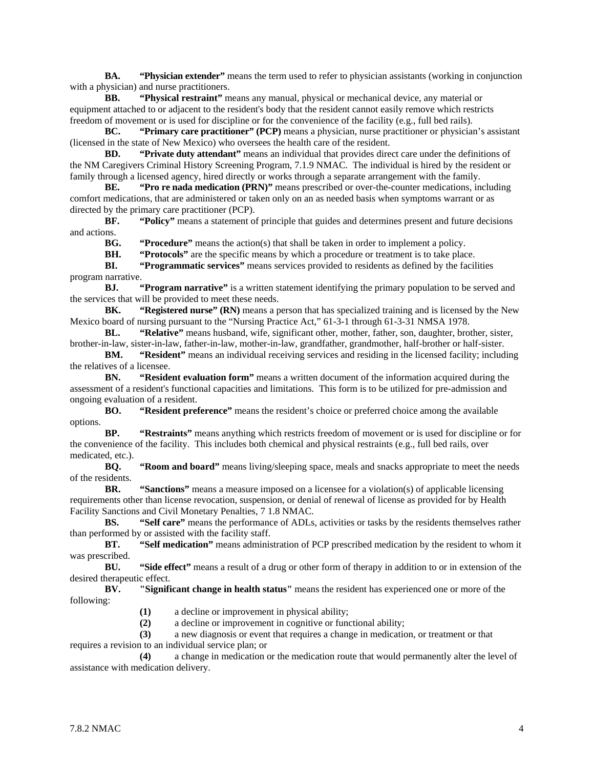**BA. "Physician extender"** means the term used to refer to physician assistants (working in conjunction with a physician) and nurse practitioners.

**BB. "Physical restraint"** means any manual, physical or mechanical device, any material or equipment attached to or adjacent to the resident's body that the resident cannot easily remove which restricts freedom of movement or is used for discipline or for the convenience of the facility (e.g., full bed rails).

**BC. "Primary care practitioner" (PCP)** means a physician, nurse practitioner or physician's assistant (licensed in the state of New Mexico) who oversees the health care of the resident.

**BD. "Private duty attendant"** means an individual that provides direct care under the definitions of the NM Caregivers Criminal History Screening Program, 7.1.9 NMAC. The individual is hired by the resident or family through a licensed agency, hired directly or works through a separate arrangement with the family.

**BE. "Pro re nada medication (PRN)"** means prescribed or over-the-counter medications, including comfort medications, that are administered or taken only on an as needed basis when symptoms warrant or as directed by the primary care practitioner (PCP).

**BF. "Policy"** means a statement of principle that guides and determines present and future decisions and actions.

**BG. "Procedure"** means the action(s) that shall be taken in order to implement a policy.

**BH. "Protocols"** are the specific means by which a procedure or treatment is to take place.

**BI. "Programmatic services"** means services provided to residents as defined by the facilities program narrative.

**BJ. "Program narrative"** is a written statement identifying the primary population to be served and the services that will be provided to meet these needs.<br>**BK.** "Registered nurse" (RN) means a p

**"Registered nurse" (RN)** means a person that has specialized training and is licensed by the New Mexico board of nursing pursuant to the "Nursing Practice Act," 61-3-1 through 61-3-31 NMSA 1978.

**BL. "Relative"** means husband, wife, significant other, mother, father, son, daughter, brother, sister, brother-in-law, sister-in-law, father-in-law, mother-in-law, grandfather, grandmother, half-brother or half-sister.

**BM. "Resident"** means an individual receiving services and residing in the licensed facility; including the relatives of a licensee.

**BN. "Resident evaluation form"** means a written document of the information acquired during the assessment of a resident's functional capacities and limitations. This form is to be utilized for pre-admission and ongoing evaluation of a resident.

**BO. "Resident preference"** means the resident's choice or preferred choice among the available options.

**BP. "Restraints"** means anything which restricts freedom of movement or is used for discipline or for the convenience of the facility. This includes both chemical and physical restraints (e.g., full bed rails, over medicated, etc.).

**BQ. "Room and board"** means living/sleeping space, meals and snacks appropriate to meet the needs of the residents.

**BR. "Sanctions"** means a measure imposed on a licensee for a violation(s) of applicable licensing requirements other than license revocation, suspension, or denial of renewal of license as provided for by Health Facility Sanctions and Civil Monetary Penalties, 7 1.8 NMAC.

**BS. "Self care"** means the performance of ADLs, activities or tasks by the residents themselves rather than performed by or assisted with the facility staff.<br>**BT.** "Self medication" means adminis

**Self medication"** means administration of PCP prescribed medication by the resident to whom it was prescribed.

**BU. "Side effect"** means a result of a drug or other form of therapy in addition to or in extension of the desired therapeutic effect.

**BV. "Significant change in health status"** means the resident has experienced one or more of the following:

**(1)** a decline or improvement in physical ability;

**(2)** a decline or improvement in cognitive or functional ability;

**(3)** a new diagnosis or event that requires a change in medication, or treatment or that requires a revision to an individual service plan; or

**(4)** a change in medication or the medication route that would permanently alter the level of assistance with medication delivery.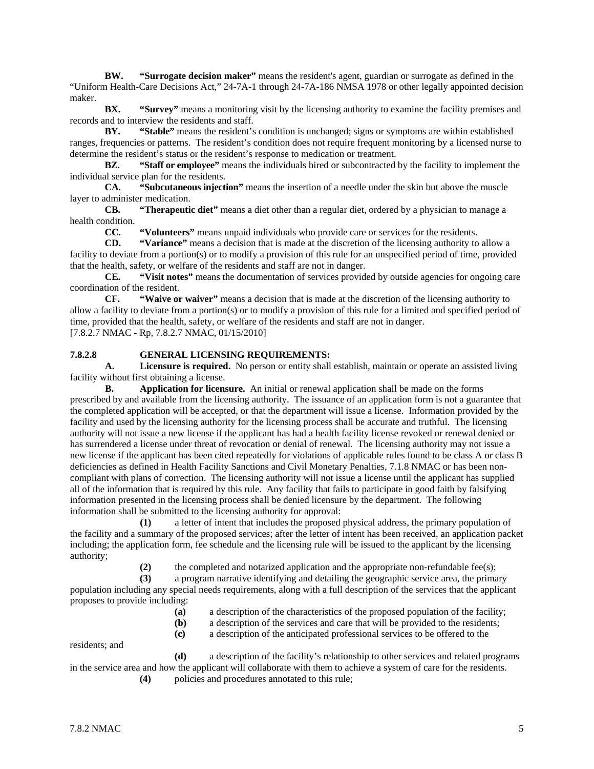**BW. "Surrogate decision maker"** means the resident's agent, guardian or surrogate as defined in the "Uniform Health-Care Decisions Act," 24-7A-1 through 24-7A-186 NMSA 1978 or other legally appointed decision maker.

**BX. "Survey"** means a monitoring visit by the licensing authority to examine the facility premises and records and to interview the residents and staff.

**BY. "Stable"** means the resident's condition is unchanged; signs or symptoms are within established ranges, frequencies or patterns. The resident's condition does not require frequent monitoring by a licensed nurse to determine the resident's status or the resident's response to medication or treatment.

**BZ. "Staff or employee"** means the individuals hired or subcontracted by the facility to implement the individual service plan for the residents.

**CA. "Subcutaneous injection"** means the insertion of a needle under the skin but above the muscle layer to administer medication.

**CB. "Therapeutic diet"** means a diet other than a regular diet, ordered by a physician to manage a health condition.

**CC. "Volunteers"** means unpaid individuals who provide care or services for the residents.

**CD. "Variance"** means a decision that is made at the discretion of the licensing authority to allow a facility to deviate from a portion(s) or to modify a provision of this rule for an unspecified period of time, provided that the health, safety, or welfare of the residents and staff are not in danger.

**CE. "Visit notes"** means the documentation of services provided by outside agencies for ongoing care coordination of the resident.

**CF. "Waive or waiver"** means a decision that is made at the discretion of the licensing authority to allow a facility to deviate from a portion(s) or to modify a provision of this rule for a limited and specified period of time, provided that the health, safety, or welfare of the residents and staff are not in danger. [7.8.2.7 NMAC - Rp, 7.8.2.7 NMAC, 01/15/2010]

#### **7.8.2.8 GENERAL LICENSING REQUIREMENTS:**

**A. Licensure is required.** No person or entity shall establish, maintain or operate an assisted living facility without first obtaining a license.

**B. Application for licensure.** An initial or renewal application shall be made on the forms prescribed by and available from the licensing authority. The issuance of an application form is not a guarantee that the completed application will be accepted, or that the department will issue a license. Information provided by the facility and used by the licensing authority for the licensing process shall be accurate and truthful. The licensing authority will not issue a new license if the applicant has had a health facility license revoked or renewal denied or has surrendered a license under threat of revocation or denial of renewal. The licensing authority may not issue a new license if the applicant has been cited repeatedly for violations of applicable rules found to be class A or class B deficiencies as defined in Health Facility Sanctions and Civil Monetary Penalties, 7.1.8 NMAC or has been noncompliant with plans of correction. The licensing authority will not issue a license until the applicant has supplied all of the information that is required by this rule. Any facility that fails to participate in good faith by falsifying information presented in the licensing process shall be denied licensure by the department. The following information shall be submitted to the licensing authority for approval:

**(1)** a letter of intent that includes the proposed physical address, the primary population of the facility and a summary of the proposed services; after the letter of intent has been received, an application packet including; the application form, fee schedule and the licensing rule will be issued to the applicant by the licensing authority;

(2) the completed and notarized application and the appropriate non-refundable fee(s);

**(3)** a program narrative identifying and detailing the geographic service area, the primary population including any special needs requirements, along with a full description of the services that the applicant proposes to provide including:

- **(a)** a description of the characteristics of the proposed population of the facility;
- **(b)** a description of the services and care that will be provided to the residents;
- **(c)** a description of the anticipated professional services to be offered to the

residents; and

**(d)** a description of the facility's relationship to other services and related programs in the service area and how the applicant will collaborate with them to achieve a system of care for the residents. **(4)** policies and procedures annotated to this rule;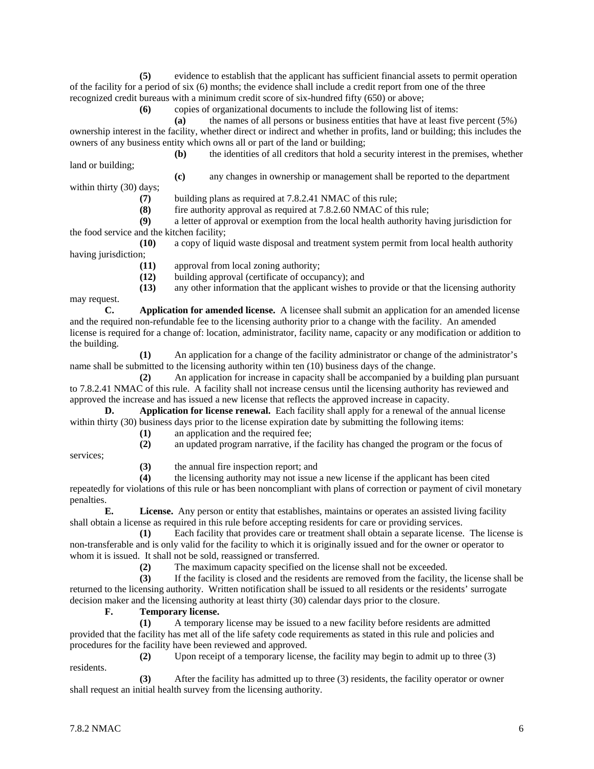**(5)** evidence to establish that the applicant has sufficient financial assets to permit operation of the facility for a period of six (6) months; the evidence shall include a credit report from one of the three recognized credit bureaus with a minimum credit score of six-hundred fifty (650) or above;

**(6)** copies of organizational documents to include the following list of items:

**(a)** the names of all persons or business entities that have at least five percent (5%) ownership interest in the facility, whether direct or indirect and whether in profits, land or building; this includes the owners of any business entity which owns all or part of the land or building; **(b)** the identities of all creditors that hold a security interest in the premises, whether

land or building;

**(c)** any changes in ownership or management shall be reported to the department

within thirty (30) days;

**(7)** building plans as required at 7.8.2.41 NMAC of this rule;

fire authority approval as required at 7.8.2.60 NMAC of this rule;

**(9)** a letter of approval or exemption from the local health authority having jurisdiction for the food service and the kitchen facility;

**(10)** a copy of liquid waste disposal and treatment system permit from local health authority having jurisdiction;

**(11)** approval from local zoning authority;

**(12)** building approval (certificate of occupancy); and

**(13)** any other information that the applicant wishes to provide or that the licensing authority

may request.

**C. Application for amended license.** A licensee shall submit an application for an amended license and the required non-refundable fee to the licensing authority prior to a change with the facility. An amended license is required for a change of: location, administrator, facility name, capacity or any modification or addition to the building.

**(1)** An application for a change of the facility administrator or change of the administrator's name shall be submitted to the licensing authority within ten (10) business days of the change.

**(2)** An application for increase in capacity shall be accompanied by a building plan pursuant to 7.8.2.41 NMAC of this rule. A facility shall not increase census until the licensing authority has reviewed and approved the increase and has issued a new license that reflects the approved increase in capacity.

**D. Application for license renewal.** Each facility shall apply for a renewal of the annual license within thirty (30) business days prior to the license expiration date by submitting the following items:

**(1)** an application and the required fee;

**(2)** an updated program narrative, if the facility has changed the program or the focus of

services;

**(3)** the annual fire inspection report; and

**(4)** the licensing authority may not issue a new license if the applicant has been cited

repeatedly for violations of this rule or has been noncompliant with plans of correction or payment of civil monetary penalties.

**E. License.** Any person or entity that establishes, maintains or operates an assisted living facility shall obtain a license as required in this rule before accepting residents for care or providing services.

**(1)** Each facility that provides care or treatment shall obtain a separate license. The license is non-transferable and is only valid for the facility to which it is originally issued and for the owner or operator to whom it is issued. It shall not be sold, reassigned or transferred.

(2) The maximum capacity specified on the license shall not be exceeded.<br> **(3)** If the facility is closed and the residents are removed from the facility.

**(3)** If the facility is closed and the residents are removed from the facility, the license shall be returned to the licensing authority. Written notification shall be issued to all residents or the residents' surrogate decision maker and the licensing authority at least thirty (30) calendar days prior to the closure.

# **F. Temporary license.**

**(1)** A temporary license may be issued to a new facility before residents are admitted provided that the facility has met all of the life safety code requirements as stated in this rule and policies and procedures for the facility have been reviewed and approved.

**(2)** Upon receipt of a temporary license, the facility may begin to admit up to three (3) residents.

**(3)** After the facility has admitted up to three (3) residents, the facility operator or owner shall request an initial health survey from the licensing authority.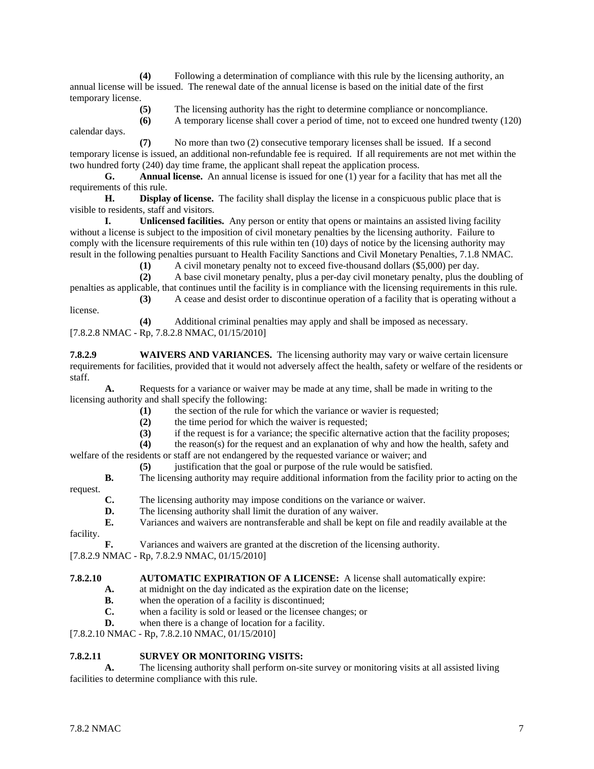**(4)** Following a determination of compliance with this rule by the licensing authority, an annual license will be issued. The renewal date of the annual license is based on the initial date of the first temporary license.

- **(5)** The licensing authority has the right to determine compliance or noncompliance.
- **(6)** A temporary license shall cover a period of time, not to exceed one hundred twenty (120) calendar days.

**(7)** No more than two (2) consecutive temporary licenses shall be issued. If a second temporary license is issued, an additional non-refundable fee is required. If all requirements are not met within the two hundred forty (240) day time frame, the applicant shall repeat the application process.

**G. Annual license.** An annual license is issued for one (1) year for a facility that has met all the requirements of this rule.

**H. Display of license.** The facility shall display the license in a conspicuous public place that is visible to residents, staff and visitors.

**I. Unlicensed facilities.** Any person or entity that opens or maintains an assisted living facility without a license is subject to the imposition of civil monetary penalties by the licensing authority. Failure to comply with the licensure requirements of this rule within ten (10) days of notice by the licensing authority may result in the following penalties pursuant to Health Facility Sanctions and Civil Monetary Penalties, 7.1.8 NMAC.

**(1)** A civil monetary penalty not to exceed five-thousand dollars (\$5,000) per day.

**(2)** A base civil monetary penalty, plus a per-day civil monetary penalty, plus the doubling of penalties as applicable, that continues until the facility is in compliance with the licensing requirements in this rule. **(3)** A cease and desist order to discontinue operation of a facility that is operating without a

license.

**(4)** Additional criminal penalties may apply and shall be imposed as necessary.

[7.8.2.8 NMAC - Rp, 7.8.2.8 NMAC, 01/15/2010]

**7.8.2.9 WAIVERS AND VARIANCES.** The licensing authority may vary or waive certain licensure requirements for facilities, provided that it would not adversely affect the health, safety or welfare of the residents or staff.

**A.** Requests for a variance or waiver may be made at any time, shall be made in writing to the licensing authority and shall specify the following:

- **(1)** the section of the rule for which the variance or wavier is requested;
- (2) the time period for which the waiver is requested;<br>(3) if the request is for a variance; the specific alternat
- **(3)** if the request is for a variance; the specific alternative action that the facility proposes;

**(4)** the reason(s) for the request and an explanation of why and how the health, safety and welfare of the residents or staff are not endangered by the requested variance or waiver; and

- **(5)** justification that the goal or purpose of the rule would be satisfied.
- **B.** The licensing authority may require additional information from the facility prior to acting on the

request.

- **C.** The licensing authority may impose conditions on the variance or waiver.
- **D.** The licensing authority shall limit the duration of any waiver.
- **E.** Variances and waivers are nontransferable and shall be kept on file and readily available at the

facility.

**F.** Variances and waivers are granted at the discretion of the licensing authority.

[7.8.2.9 NMAC - Rp, 7.8.2.9 NMAC, 01/15/2010]

#### **7.8.2.10 AUTOMATIC EXPIRATION OF A LICENSE:** A license shall automatically expire:

- **A.** at midnight on the day indicated as the expiration date on the license;
	- **B.** when the operation of a facility is discontinued;<br>**C.** when a facility is sold or leased or the licensee c
	- when a facility is sold or leased or the licensee changes; or
- **D.** when there is a change of location for a facility.

[7.8.2.10 NMAC - Rp, 7.8.2.10 NMAC, 01/15/2010]

# **7.8.2.11 SURVEY OR MONITORING VISITS:**

**A.** The licensing authority shall perform on-site survey or monitoring visits at all assisted living facilities to determine compliance with this rule.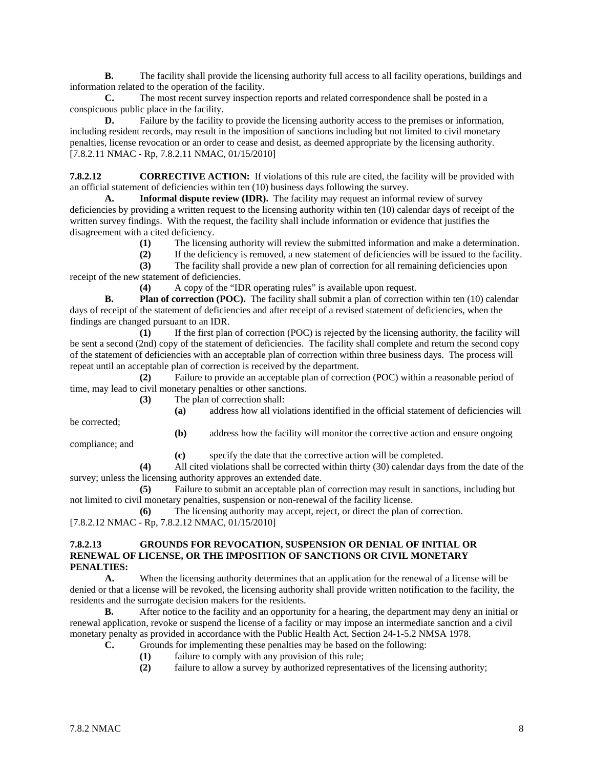**B.** The facility shall provide the licensing authority full access to all facility operations, buildings and information related to the operation of the facility.

**C.** The most recent survey inspection reports and related correspondence shall be posted in a conspicuous public place in the facility.

**D.** Failure by the facility to provide the licensing authority access to the premises or information, including resident records, may result in the imposition of sanctions including but not limited to civil monetary penalties, license revocation or an order to cease and desist, as deemed appropriate by the licensing authority. [7.8.2.11 NMAC - Rp, 7.8.2.11 NMAC, 01/15/2010]

**7.8.2.12 CORRECTIVE ACTION:** If violations of this rule are cited, the facility will be provided with an official statement of deficiencies within ten (10) business days following the survey.

**A. Informal dispute review (IDR).** The facility may request an informal review of survey deficiencies by providing a written request to the licensing authority within ten (10) calendar days of receipt of the written survey findings. With the request, the facility shall include information or evidence that justifies the disagreement with a cited deficiency.

- **(1)** The licensing authority will review the submitted information and make a determination.
- **(2)** If the deficiency is removed, a new statement of deficiencies will be issued to the facility.

**(3)** The facility shall provide a new plan of correction for all remaining deficiencies upon receipt of the new statement of deficiencies.

**(4)** A copy of the "IDR operating rules" is available upon request.

**B. Plan of correction (POC).** The facility shall submit a plan of correction within ten (10) calendar days of receipt of the statement of deficiencies and after receipt of a revised statement of deficiencies, when the findings are changed pursuant to an IDR.

**(1)** If the first plan of correction (POC) is rejected by the licensing authority, the facility will be sent a second (2nd) copy of the statement of deficiencies. The facility shall complete and return the second copy of the statement of deficiencies with an acceptable plan of correction within three business days. The process will repeat until an acceptable plan of correction is received by the department.

**(2)** Failure to provide an acceptable plan of correction (POC) within a reasonable period of time, may lead to civil monetary penalties or other sanctions.

**(3)** The plan of correction shall:

be corrected;

**(a)** address how all violations identified in the official statement of deficiencies will **(b)** address how the facility will monitor the corrective action and ensure ongoing

compliance; and

**(c)** specify the date that the corrective action will be completed.

**(4)** All cited violations shall be corrected within thirty (30) calendar days from the date of the survey; unless the licensing authority approves an extended date.

**(5)** Failure to submit an acceptable plan of correction may result in sanctions, including but not limited to civil monetary penalties, suspension or non-renewal of the facility license.

**(6)** The licensing authority may accept, reject, or direct the plan of correction. [7.8.2.12 NMAC - Rp, 7.8.2.12 NMAC, 01/15/2010]

#### **7.8.2.13 GROUNDS FOR REVOCATION, SUSPENSION OR DENIAL OF INITIAL OR RENEWAL OF LICENSE, OR THE IMPOSITION OF SANCTIONS OR CIVIL MONETARY PENALTIES:**

**A.** When the licensing authority determines that an application for the renewal of a license will be denied or that a license will be revoked, the licensing authority shall provide written notification to the facility, the residents and the surrogate decision makers for the residents.<br>**B.** After notice to the facility and an opportunity

**B.** After notice to the facility and an opportunity for a hearing, the department may deny an initial or renewal application, revoke or suspend the license of a facility or may impose an intermediate sanction and a civil monetary penalty as provided in accordance with the Public Health Act, Section 24-1-5.2 NMSA 1978.

- **C.** Grounds for implementing these penalties may be based on the following:
	- **(1)** failure to comply with any provision of this rule;
	- **(2)** failure to allow a survey by authorized representatives of the licensing authority;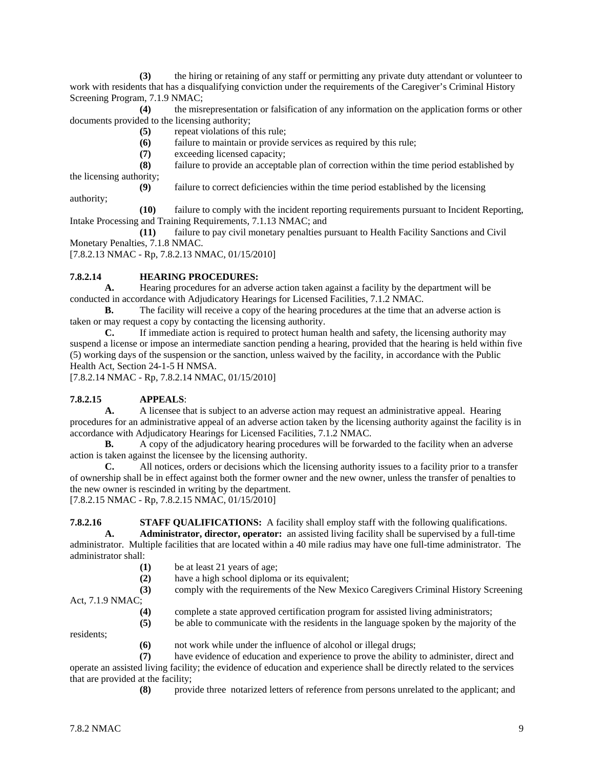**(3)** the hiring or retaining of any staff or permitting any private duty attendant or volunteer to work with residents that has a disqualifying conviction under the requirements of the Caregiver's Criminal History Screening Program, 7.1.9 NMAC;

**(4)** the misrepresentation or falsification of any information on the application forms or other documents provided to the licensing authority;

- **(5)** repeat violations of this rule;
- **(6)** failure to maintain or provide services as required by this rule;
- **(7)** exceeding licensed capacity;

**(8)** failure to provide an acceptable plan of correction within the time period established by the licensing authority;

**(9)** failure to correct deficiencies within the time period established by the licensing

authority;

**(10)** failure to comply with the incident reporting requirements pursuant to Incident Reporting, Intake Processing and Training Requirements, 7.1.13 NMAC; and

**(11)** failure to pay civil monetary penalties pursuant to Health Facility Sanctions and Civil Monetary Penalties, 7.1.8 NMAC.

[7.8.2.13 NMAC - Rp, 7.8.2.13 NMAC, 01/15/2010]

### **7.8.2.14 HEARING PROCEDURES:**

**A.** Hearing procedures for an adverse action taken against a facility by the department will be conducted in accordance with Adjudicatory Hearings for Licensed Facilities, 7.1.2 NMAC.

**B.** The facility will receive a copy of the hearing procedures at the time that an adverse action is taken or may request a copy by contacting the licensing authority.

**C.** If immediate action is required to protect human health and safety, the licensing authority may suspend a license or impose an intermediate sanction pending a hearing, provided that the hearing is held within five (5) working days of the suspension or the sanction, unless waived by the facility, in accordance with the Public Health Act, Section 24-1-5 H NMSA.

[7.8.2.14 NMAC - Rp, 7.8.2.14 NMAC, 01/15/2010]

# **7.8.2.15 APPEALS**:

**A.** A licensee that is subject to an adverse action may request an administrative appeal. Hearing procedures for an administrative appeal of an adverse action taken by the licensing authority against the facility is in accordance with Adjudicatory Hearings for Licensed Facilities, 7.1.2 NMAC.

**B.** A copy of the adjudicatory hearing procedures will be forwarded to the facility when an adverse action is taken against the licensee by the licensing authority.

**C.** All notices, orders or decisions which the licensing authority issues to a facility prior to a transfer of ownership shall be in effect against both the former owner and the new owner, unless the transfer of penalties to the new owner is rescinded in writing by the department.

[7.8.2.15 NMAC - Rp, 7.8.2.15 NMAC, 01/15/2010]

**7.8.2.16 STAFF QUALIFICATIONS:** A facility shall employ staff with the following qualifications. **A. Administrator, director, operator:** an assisted living facility shall be supervised by a full-time

administrator. Multiple facilities that are located within a 40 mile radius may have one full-time administrator. The administrator shall:

- **(1)** be at least 21 years of age;
- **(2)** have a high school diploma or its equivalent;
- **(3)** comply with the requirements of the New Mexico Caregivers Criminal History Screening Act, 7.1.9 NMAC;
	- **(4)** complete a state approved certification program for assisted living administrators;
	- **(5)** be able to communicate with the residents in the language spoken by the majority of the

residents;

**(6)** not work while under the influence of alcohol or illegal drugs;

have evidence of education and experience to prove the ability to administer, direct and operate an assisted living facility; the evidence of education and experience shall be directly related to the services that are provided at the facility;

**(8)** provide three notarized letters of reference from persons unrelated to the applicant; and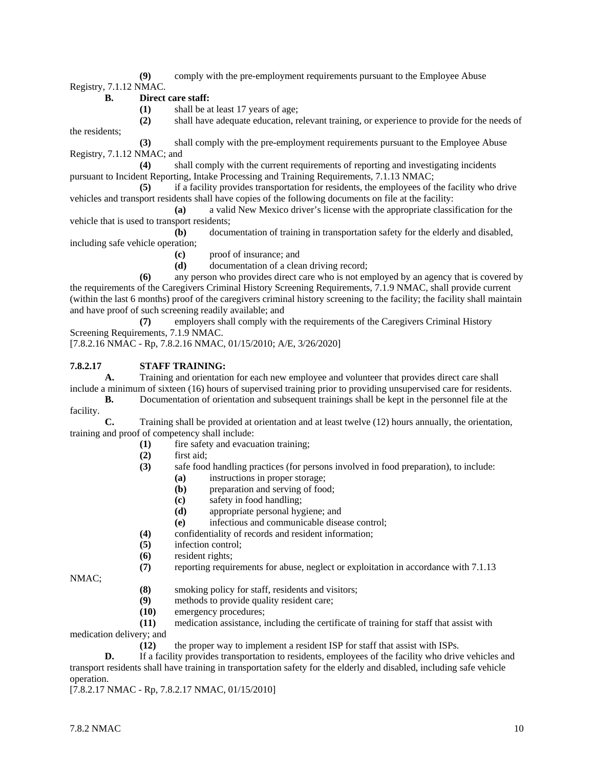**(9)** comply with the pre-employment requirements pursuant to the Employee Abuse

Registry, 7.1.12 NMAC.

- **B. Direct care staff:**
	- **(1)** shall be at least 17 years of age;

**(2)** shall have adequate education, relevant training, or experience to provide for the needs of the residents;

**(3)** shall comply with the pre-employment requirements pursuant to the Employee Abuse Registry, 7.1.12 NMAC; and

**(4)** shall comply with the current requirements of reporting and investigating incidents pursuant to Incident Reporting, Intake Processing and Training Requirements, 7.1.13 NMAC;

**(5)** if a facility provides transportation for residents, the employees of the facility who drive vehicles and transport residents shall have copies of the following documents on file at the facility:

**(a)** a valid New Mexico driver's license with the appropriate classification for the vehicle that is used to transport residents;

**(b)** documentation of training in transportation safety for the elderly and disabled, including safe vehicle operation;

**(c)** proof of insurance; and

**(d)** documentation of a clean driving record;

**(6)** any person who provides direct care who is not employed by an agency that is covered by the requirements of the Caregivers Criminal History Screening Requirements, 7.1.9 NMAC, shall provide current (within the last 6 months) proof of the caregivers criminal history screening to the facility; the facility shall maintain and have proof of such screening readily available; and

**(7)** employers shall comply with the requirements of the Caregivers Criminal History Screening Requirements, 7.1.9 NMAC.

[7.8.2.16 NMAC - Rp, 7.8.2.16 NMAC, 01/15/2010; A/E, 3/26/2020]

# **7.8.2.17 STAFF TRAINING:**

**A.** Training and orientation for each new employee and volunteer that provides direct care shall include a minimum of sixteen (16) hours of supervised training prior to providing unsupervised care for residents.

**B.** Documentation of orientation and subsequent trainings shall be kept in the personnel file at the facility.

**C.** Training shall be provided at orientation and at least twelve (12) hours annually, the orientation, training and proof of competency shall include:

- **(1)** fire safety and evacuation training;
- **(2)** first aid;
- **(3)** safe food handling practices (for persons involved in food preparation), to include:
	- **(a)** instructions in proper storage;
	- **(b)** preparation and serving of food;
	- **(c)** safety in food handling;
	- **(d)** appropriate personal hygiene; and
	- **(e)** infectious and communicable disease control;
- **(4)** confidentiality of records and resident information;
- **(5)** infection control;
- **(6)** resident rights;

**(7)** reporting requirements for abuse, neglect or exploitation in accordance with 7.1.13

NMAC;

- **(8)** smoking policy for staff, residents and visitors;
- **(9)** methods to provide quality resident care;
- **(10)** emergency procedures;

**(11)** medication assistance, including the certificate of training for staff that assist with medication delivery; and

**(12)** the proper way to implement a resident ISP for staff that assist with ISPs.

**D.** If a facility provides transportation to residents, employees of the facility who drive vehicles and transport residents shall have training in transportation safety for the elderly and disabled, including safe vehicle operation.

[7.8.2.17 NMAC - Rp, 7.8.2.17 NMAC, 01/15/2010]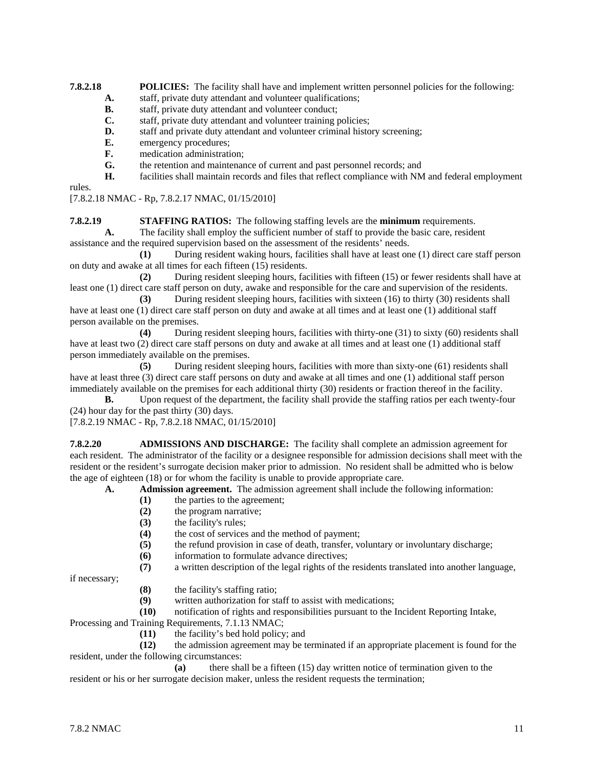**7.8.2.18 POLICIES:** The facility shall have and implement written personnel policies for the following:

- **A.** staff, private duty attendant and volunteer qualifications;<br>**B.** staff, private duty attendant and volunteer conduct:
- staff, private duty attendant and volunteer conduct;
- **C.** staff, private duty attendant and volunteer training policies;
- **D.** staff and private duty attendant and volunteer criminal history screening;
- **E.** emergency procedures;
- **F.** medication administration;
- **G.** the retention and maintenance of current and past personnel records; and
- **H.** facilities shall maintain records and files that reflect compliance with NM and federal employment

rules.

[7.8.2.18 NMAC - Rp, 7.8.2.17 NMAC, 01/15/2010]

**7.8.2.19 STAFFING RATIOS:** The following staffing levels are the **minimum** requirements.

**A.** The facility shall employ the sufficient number of staff to provide the basic care, resident assistance and the required supervision based on the assessment of the residents' needs.

**(1)** During resident waking hours, facilities shall have at least one (1) direct care staff person on duty and awake at all times for each fifteen (15) residents.

**(2)** During resident sleeping hours, facilities with fifteen (15) or fewer residents shall have at least one (1) direct care staff person on duty, awake and responsible for the care and supervision of the residents.

**(3)** During resident sleeping hours, facilities with sixteen (16) to thirty (30) residents shall have at least one (1) direct care staff person on duty and awake at all times and at least one (1) additional staff person available on the premises.

**(4)** During resident sleeping hours, facilities with thirty-one (31) to sixty (60) residents shall have at least two (2) direct care staff persons on duty and awake at all times and at least one (1) additional staff person immediately available on the premises.

**(5)** During resident sleeping hours, facilities with more than sixty-one (61) residents shall have at least three (3) direct care staff persons on duty and awake at all times and one (1) additional staff person immediately available on the premises for each additional thirty (30) residents or fraction thereof in the facility.

**B.** Upon request of the department, the facility shall provide the staffing ratios per each twenty-four (24) hour day for the past thirty (30) days.

[7.8.2.19 NMAC - Rp, 7.8.2.18 NMAC, 01/15/2010]

**7.8.2.20 ADMISSIONS AND DISCHARGE:** The facility shall complete an admission agreement for each resident. The administrator of the facility or a designee responsible for admission decisions shall meet with the resident or the resident's surrogate decision maker prior to admission. No resident shall be admitted who is below the age of eighteen (18) or for whom the facility is unable to provide appropriate care.

**A. Admission agreement.** The admission agreement shall include the following information:

- **(1)** the parties to the agreement;
- **(2)** the program narrative;
- (3) the facility's rules;<br>(4) the cost of services
- the cost of services and the method of payment;
- **(5)** the refund provision in case of death, transfer, voluntary or involuntary discharge;
- **(6)** information to formulate advance directives;
- **(7)** a written description of the legal rights of the residents translated into another language,

if necessary;

- **(8)** the facility's staffing ratio;
- written authorization for staff to assist with medications;
- **(10)** notification of rights and responsibilities pursuant to the Incident Reporting Intake,

Processing and Training Requirements, 7.1.13 NMAC;

**(11)** the facility's bed hold policy; and

**(12)** the admission agreement may be terminated if an appropriate placement is found for the resident, under the following circumstances:<br>(a) there sha

**(a)** there shall be a fifteen (15) day written notice of termination given to the resident or his or her surrogate decision maker, unless the resident requests the termination;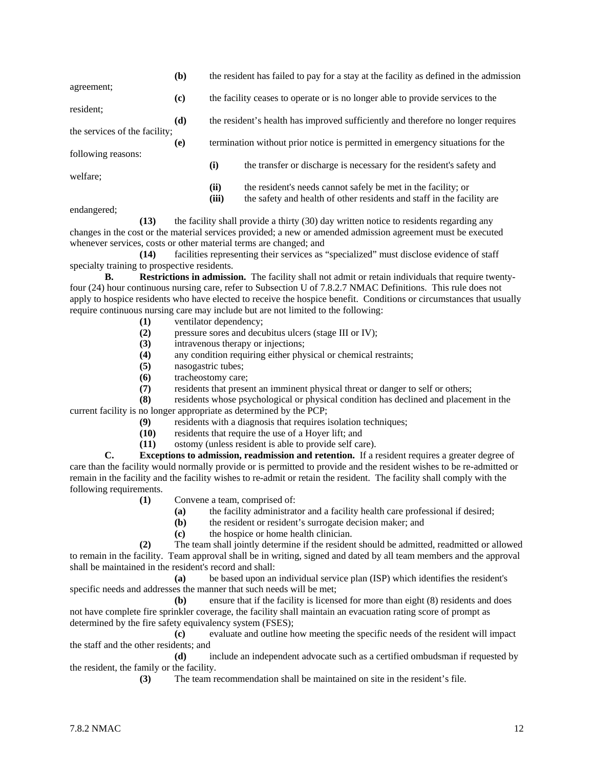|                               | (b)                         |                                                                               | the resident has failed to pay for a stay at the facility as defined in the admission |  |
|-------------------------------|-----------------------------|-------------------------------------------------------------------------------|---------------------------------------------------------------------------------------|--|
| agreement;                    |                             |                                                                               |                                                                                       |  |
|                               | $\left( \mathbf{c} \right)$ |                                                                               | the facility ceases to operate or is no longer able to provide services to the        |  |
| resident;                     |                             |                                                                               |                                                                                       |  |
|                               | (d)                         |                                                                               | the resident's health has improved sufficiently and therefore no longer requires      |  |
| the services of the facility; | (e)                         | termination without prior notice is permitted in emergency situations for the |                                                                                       |  |
| following reasons:            |                             |                                                                               |                                                                                       |  |
|                               |                             | (i)                                                                           | the transfer or discharge is necessary for the resident's safety and                  |  |
| welfare:                      |                             |                                                                               |                                                                                       |  |
|                               |                             | (ii)                                                                          | the resident's needs cannot safely be met in the facility; or                         |  |
|                               |                             | (iii)                                                                         | the safety and health of other residents and staff in the facility are                |  |
| andangarad <sup>,</sup>       |                             |                                                                               |                                                                                       |  |

endangered; **(13)** the facility shall provide a thirty (30) day written notice to residents regarding any changes in the cost or the material services provided; a new or amended admission agreement must be executed

whenever services, costs or other material terms are changed; and **(14)** facilities representing their services as "specialized" must disclose evidence of staff specialty training to prospective residents.

**B. Restrictions in admission.** The facility shall not admit or retain individuals that require twentyfour (24) hour continuous nursing care, refer to Subsection U of 7.8.2.7 NMAC Definitions. This rule does not apply to hospice residents who have elected to receive the hospice benefit. Conditions or circumstances that usually require continuous nursing care may include but are not limited to the following:

- **(1)** ventilator dependency;
- **(2)** pressure sores and decubitus ulcers (stage III or IV);
- **(3)** intravenous therapy or injections;
- **(4)** any condition requiring either physical or chemical restraints;
- **(5)** nasogastric tubes;
- **(6)** tracheostomy care;
- **(7)** residents that present an imminent physical threat or danger to self or others;

**(8)** residents whose psychological or physical condition has declined and placement in the current facility is no longer appropriate as determined by the PCP;

- **(9)** residents with a diagnosis that requires isolation techniques;
- **(10)** residents that require the use of a Hoyer lift; and
- **(11)** ostomy (unless resident is able to provide self care).

**C. Exceptions to admission, readmission and retention.** If a resident requires a greater degree of care than the facility would normally provide or is permitted to provide and the resident wishes to be re-admitted or remain in the facility and the facility wishes to re-admit or retain the resident. The facility shall comply with the following requirements.

- **(1)** Convene a team, comprised of:
	- **(a)** the facility administrator and a facility health care professional if desired;
	- **(b)** the resident or resident's surrogate decision maker; and
	- **(c)** the hospice or home health clinician.

**(2)** The team shall jointly determine if the resident should be admitted, readmitted or allowed to remain in the facility. Team approval shall be in writing, signed and dated by all team members and the approval shall be maintained in the resident's record and shall:

**(a)** be based upon an individual service plan (ISP) which identifies the resident's specific needs and addresses the manner that such needs will be met;

**(b)** ensure that if the facility is licensed for more than eight (8) residents and does not have complete fire sprinkler coverage, the facility shall maintain an evacuation rating score of prompt as determined by the fire safety equivalency system (FSES);

**(c)** evaluate and outline how meeting the specific needs of the resident will impact the staff and the other residents; and

**(d)** include an independent advocate such as a certified ombudsman if requested by the resident, the family or the facility.

**(3)** The team recommendation shall be maintained on site in the resident's file.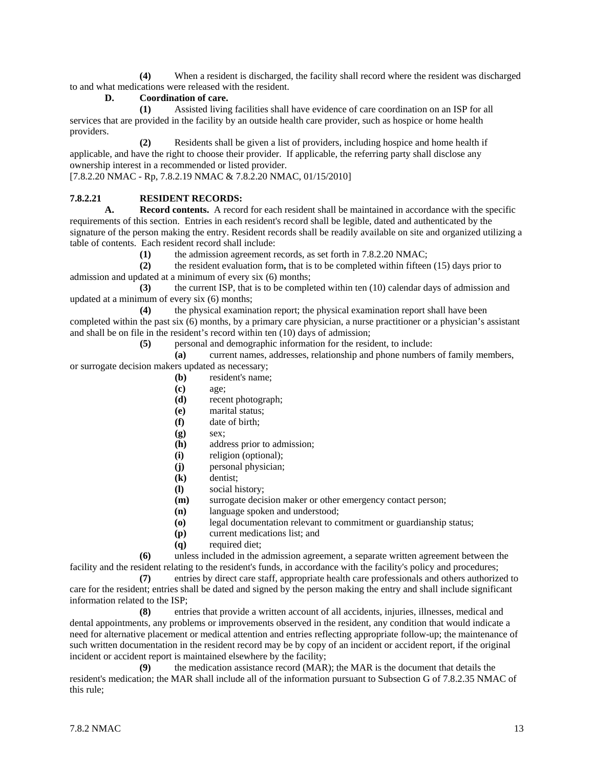**(4)** When a resident is discharged, the facility shall record where the resident was discharged to and what medications were released with the resident.

### **D. Coordination of care.**

**(1)** Assisted living facilities shall have evidence of care coordination on an ISP for all services that are provided in the facility by an outside health care provider, such as hospice or home health providers.

**(2)** Residents shall be given a list of providers, including hospice and home health if applicable, and have the right to choose their provider. If applicable, the referring party shall disclose any ownership interest in a recommended or listed provider.

[7.8.2.20 NMAC - Rp, 7.8.2.19 NMAC & 7.8.2.20 NMAC, 01/15/2010]

# **7.8.2.21 RESIDENT RECORDS:**<br>**A. Record contents.** A record

**A. Record contents.** A record for each resident shall be maintained in accordance with the specific requirements of this section. Entries in each resident's record shall be legible, dated and authenticated by the signature of the person making the entry. Resident records shall be readily available on site and organized utilizing a table of contents. Each resident record shall include:

**(1)** the admission agreement records, as set forth in 7.8.2.20 NMAC;

**(2)** the resident evaluation form**,** that is to be completed within fifteen (15) days prior to admission and updated at a minimum of every six (6) months;

**(3)** the current ISP, that is to be completed within ten (10) calendar days of admission and updated at a minimum of every six (6) months;

**(4)** the physical examination report; the physical examination report shall have been completed within the past six (6) months, by a primary care physician, a nurse practitioner or a physician's assistant and shall be on file in the resident's record within ten (10) days of admission;

**(5)** personal and demographic information for the resident, to include:

**(a)** current names, addresses, relationship and phone numbers of family members,

or surrogate decision makers updated as necessary;

- **(b)** resident's name;
- **(c)** age;
- **(d)** recent photograph;
- **(e)** marital status;
- **(f)** date of birth;
- **(g)** sex;
- **(h)** address prior to admission;
- **(i)** religion (optional);
- **(j)** personal physician;
- **(k)** dentist;
- **(l)** social history;
- **(m)** surrogate decision maker or other emergency contact person;
- **(n)** language spoken and understood;
- **(o)** legal documentation relevant to commitment or guardianship status;
- **(p)** current medications list; and
- **(q)** required diet;

**(6)** unless included in the admission agreement, a separate written agreement between the facility and the resident relating to the resident's funds, in accordance with the facility's policy and procedures;

**(7)** entries by direct care staff, appropriate health care professionals and others authorized to care for the resident; entries shall be dated and signed by the person making the entry and shall include significant information related to the ISP;

**(8)** entries that provide a written account of all accidents, injuries, illnesses, medical and dental appointments, any problems or improvements observed in the resident, any condition that would indicate a need for alternative placement or medical attention and entries reflecting appropriate follow-up; the maintenance of such written documentation in the resident record may be by copy of an incident or accident report, if the original incident or accident report is maintained elsewhere by the facility;

**(9)** the medication assistance record (MAR); the MAR is the document that details the resident's medication; the MAR shall include all of the information pursuant to Subsection G of 7.8.2.35 NMAC of this rule;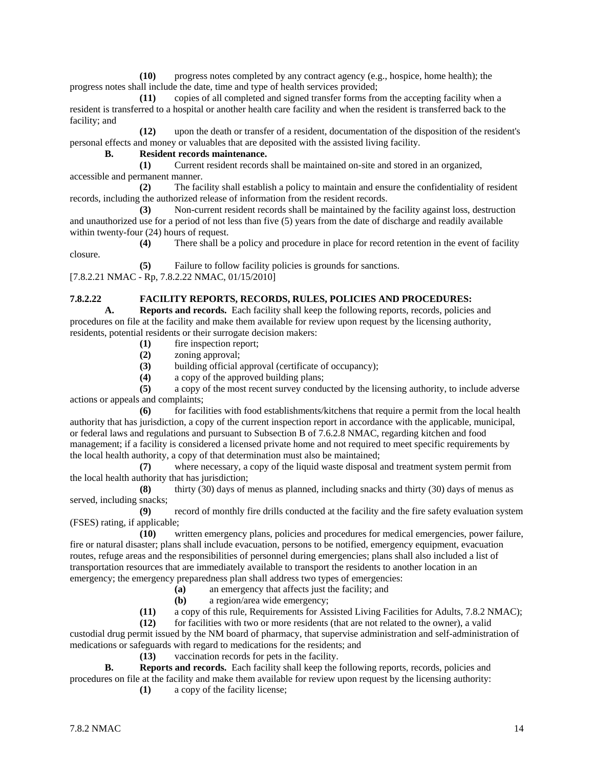**(10)** progress notes completed by any contract agency (e.g., hospice, home health); the progress notes shall include the date, time and type of health services provided;

**(11)** copies of all completed and signed transfer forms from the accepting facility when a resident is transferred to a hospital or another health care facility and when the resident is transferred back to the facility; and

**(12)** upon the death or transfer of a resident, documentation of the disposition of the resident's personal effects and money or valuables that are deposited with the assisted living facility.

#### **B. Resident records maintenance.**

**(1)** Current resident records shall be maintained on-site and stored in an organized, accessible and permanent manner.

**(2)** The facility shall establish a policy to maintain and ensure the confidentiality of resident records, including the authorized release of information from the resident records.

**(3)** Non-current resident records shall be maintained by the facility against loss, destruction and unauthorized use for a period of not less than five (5) years from the date of discharge and readily available within twenty-four (24) hours of request.

**(4)** There shall be a policy and procedure in place for record retention in the event of facility closure.

**(5)** Failure to follow facility policies is grounds for sanctions.

[7.8.2.21 NMAC - Rp, 7.8.2.22 NMAC, 01/15/2010]

# **7.8.2.22 FACILITY REPORTS, RECORDS, RULES, POLICIES AND PROCEDURES:**

**A. Reports and records.** Each facility shall keep the following reports, records, policies and procedures on file at the facility and make them available for review upon request by the licensing authority, residents, potential residents or their surrogate decision makers:

- **(1)** fire inspection report;
- **(2)** zoning approval;
- **(3)** building official approval (certificate of occupancy);
- **(4)** a copy of the approved building plans;

**(5)** a copy of the most recent survey conducted by the licensing authority, to include adverse actions or appeals and complaints;

**(6)** for facilities with food establishments/kitchens that require a permit from the local health authority that has jurisdiction, a copy of the current inspection report in accordance with the applicable, municipal, or federal laws and regulations and pursuant to Subsection B of 7.6.2.8 NMAC, regarding kitchen and food management; if a facility is considered a licensed private home and not required to meet specific requirements by the local health authority, a copy of that determination must also be maintained;

**(7)** where necessary, a copy of the liquid waste disposal and treatment system permit from the local health authority that has jurisdiction;

**(8)** thirty (30) days of menus as planned, including snacks and thirty (30) days of menus as served, including snacks;

**(9)** record of monthly fire drills conducted at the facility and the fire safety evaluation system (FSES) rating, if applicable;

**(10)** written emergency plans, policies and procedures for medical emergencies, power failure, fire or natural disaster; plans shall include evacuation, persons to be notified, emergency equipment, evacuation routes, refuge areas and the responsibilities of personnel during emergencies; plans shall also included a list of transportation resources that are immediately available to transport the residents to another location in an emergency; the emergency preparedness plan shall address two types of emergencies:

**(a)** an emergency that affects just the facility; and

- **(b)** a region/area wide emergency;
- **(11)** a copy of this rule, Requirements for Assisted Living Facilities for Adults, 7.8.2 NMAC);

**(12)** for facilities with two or more residents (that are not related to the owner), a valid custodial drug permit issued by the NM board of pharmacy, that supervise administration and self-administration of medications or safeguards with regard to medications for the residents; and

**(13)** vaccination records for pets in the facility.

**B. Reports and records.** Each facility shall keep the following reports, records, policies and procedures on file at the facility and make them available for review upon request by the licensing authority:

**(1)** a copy of the facility license;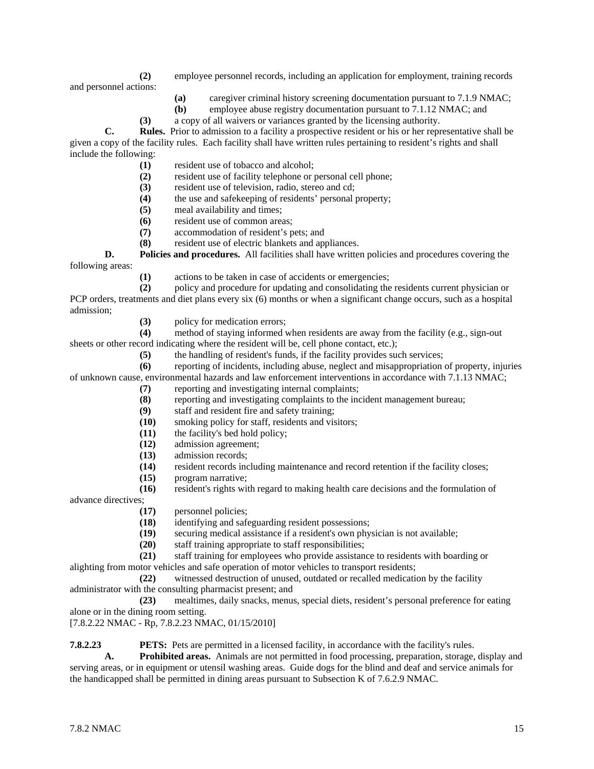- **(2)** employee personnel records, including an application for employment, training records and personnel actions:
	- **(a)** caregiver criminal history screening documentation pursuant to 7.1.9 NMAC;
	- **(b)** employee abuse registry documentation pursuant to 7.1.12 NMAC; and
	- **(3)** a copy of all waivers or variances granted by the licensing authority.

**C. Rules.** Prior to admission to a facility a prospective resident or his or her representative shall be given a copy of the facility rules. Each facility shall have written rules pertaining to resident's rights and shall include the following:

- **(1)** resident use of tobacco and alcohol;
- **(2)** resident use of facility telephone or personal cell phone;
- **(3)** resident use of television, radio, stereo and cd;
- **(4)** the use and safekeeping of residents' personal property;
- **(5)** meal availability and times;
- **(6)** resident use of common areas;
- **(7)** accommodation of resident's pets; and
- **(8)** resident use of electric blankets and appliances.

**D. Policies and procedures.** All facilities shall have written policies and procedures covering the following areas:

**(1)** actions to be taken in case of accidents or emergencies;

**(2)** policy and procedure for updating and consolidating the residents current physician or PCP orders, treatments and diet plans every six (6) months or when a significant change occurs, such as a hospital admission;

(3) policy for medication errors;<br>(4) method of staying informed v

method of staying informed when residents are away from the facility (e.g., sign-out sheets or other record indicating where the resident will be, cell phone contact, etc.);

**(5)** the handling of resident's funds, if the facility provides such services;

**(6)** reporting of incidents, including abuse, neglect and misappropriation of property, injuries of unknown cause, environmental hazards and law enforcement interventions in accordance with 7.1.13 NMAC;

- **(7)** reporting and investigating internal complaints;
- **(8)** reporting and investigating complaints to the incident management bureau;
- **(9)** staff and resident fire and safety training;
- **(10)** smoking policy for staff, residents and visitors;
- **(11)** the facility's bed hold policy;
- **(12)** admission agreement;
- **(13)** admission records;
- **(14)** resident records including maintenance and record retention if the facility closes;
- **(15)** program narrative;
- **(16)** resident's rights with regard to making health care decisions and the formulation of

advance directives;

- **(17)** personnel policies;
- **(18)** identifying and safeguarding resident possessions;
- (19) securing medical assistance if a resident's own physician is not available;<br>(20) staff training appropriate to staff responsibilities;
- staff training appropriate to staff responsibilities;
- **(21)** staff training for employees who provide assistance to residents with boarding or

alighting from motor vehicles and safe operation of motor vehicles to transport residents;<br>(22) witnessed destruction of unused, outdated or recalled medication

**(22)** witnessed destruction of unused, outdated or recalled medication by the facility administrator with the consulting pharmacist present; and

**(23)** mealtimes, daily snacks, menus, special diets, resident's personal preference for eating alone or in the dining room setting.

[7.8.2.22 NMAC - Rp, 7.8.2.23 NMAC, 01/15/2010]

**7.8.2.23 PETS:** Pets are permitted in a licensed facility, in accordance with the facility's rules.

**A. Prohibited areas.** Animals are not permitted in food processing, preparation, storage, display and serving areas, or in equipment or utensil washing areas. Guide dogs for the blind and deaf and service animals for the handicapped shall be permitted in dining areas pursuant to Subsection K of 7.6.2.9 NMAC.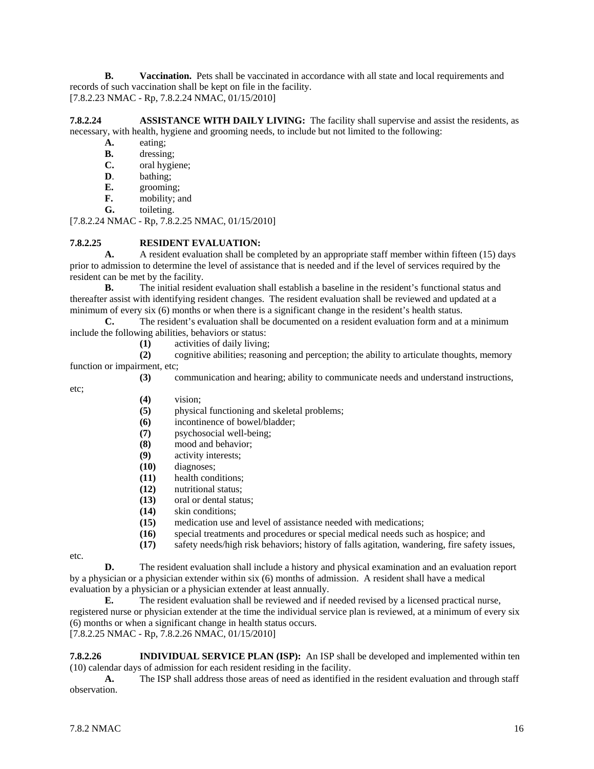**B. Vaccination.** Pets shall be vaccinated in accordance with all state and local requirements and records of such vaccination shall be kept on file in the facility. [7.8.2.23 NMAC - Rp, 7.8.2.24 NMAC, 01/15/2010]

**7.8.2.24 ASSISTANCE WITH DAILY LIVING:** The facility shall supervise and assist the residents, as necessary, with health, hygiene and grooming needs, to include but not limited to the following:

- **A.** eating;
- **B.** dressing;
- **C.** oral hygiene;
- **D**. bathing;
- **E.** grooming;
- **F.** mobility; and **G.** toileting.
- toileting.

[7.8.2.24 NMAC - Rp, 7.8.2.25 NMAC, 01/15/2010]

#### **7.8.2.25 RESIDENT EVALUATION:**

A. A resident evaluation shall be completed by an appropriate staff member within fifteen (15) days prior to admission to determine the level of assistance that is needed and if the level of services required by the resident can be met by the facility.

**B.** The initial resident evaluation shall establish a baseline in the resident's functional status and thereafter assist with identifying resident changes. The resident evaluation shall be reviewed and updated at a minimum of every six (6) months or when there is a significant change in the resident's health status.

**C.** The resident's evaluation shall be documented on a resident evaluation form and at a minimum include the following abilities, behaviors or status:

**(1)** activities of daily living; **(2)** cognitive abilities; reasoning and perception; the ability to articulate thoughts, memory function or impairment, etc;

**(3)** communication and hearing; ability to communicate needs and understand instructions,

etc;

- **(4)** vision;
- **(5)** physical functioning and skeletal problems;
- **(6)** incontinence of bowel/bladder;
- **(7)** psychosocial well-being;
- **(8)** mood and behavior;
- **(9)** activity interests;
- **(10)** diagnoses;
- **(11)** health conditions;
- **(12)** nutritional status;
- **(13)** oral or dental status;
- **(14)** skin conditions;
- **(15)** medication use and level of assistance needed with medications;
- **(16)** special treatments and procedures or special medical needs such as hospice; and
- **(17)** safety needs/high risk behaviors; history of falls agitation, wandering, fire safety issues,

etc.

**D.** The resident evaluation shall include a history and physical examination and an evaluation report by a physician or a physician extender within six (6) months of admission. A resident shall have a medical evaluation by a physician or a physician extender at least annually.

**E.** The resident evaluation shall be reviewed and if needed revised by a licensed practical nurse, registered nurse or physician extender at the time the individual service plan is reviewed, at a minimum of every six (6) months or when a significant change in health status occurs.

[7.8.2.25 NMAC - Rp, 7.8.2.26 NMAC, 01/15/2010]

**7.8.2.26 INDIVIDUAL SERVICE PLAN (ISP):** An ISP shall be developed and implemented within ten (10) calendar days of admission for each resident residing in the facility.

**A.** The ISP shall address those areas of need as identified in the resident evaluation and through staff observation.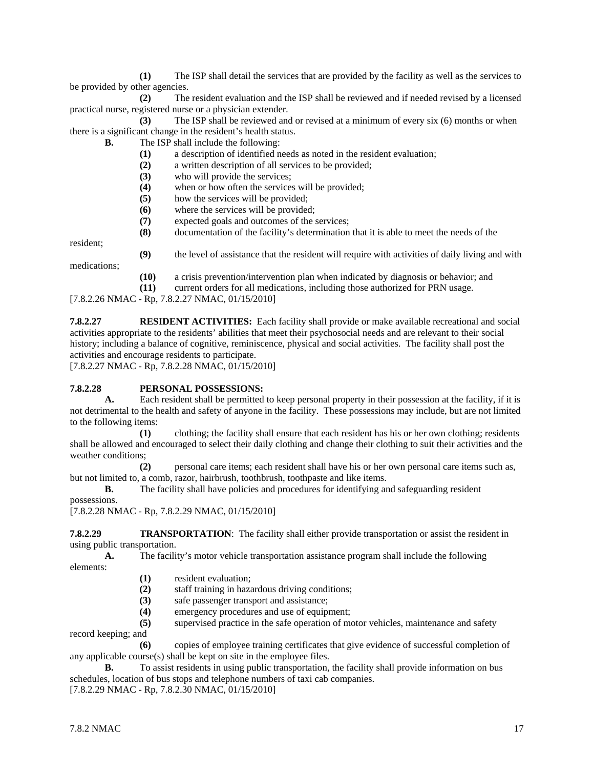**(1)** The ISP shall detail the services that are provided by the facility as well as the services to be provided by other agencies.

**(2)** The resident evaluation and the ISP shall be reviewed and if needed revised by a licensed practical nurse, registered nurse or a physician extender.

**(3)** The ISP shall be reviewed and or revised at a minimum of every six (6) months or when there is a significant change in the resident's health status.

**B.** The ISP shall include the following:

- **(1)** a description of identified needs as noted in the resident evaluation;
- **(2)** a written description of all services to be provided;
- **(3)** who will provide the services;
- **(4)** when or how often the services will be provided;
- **(5)** how the services will be provided;
- **(6)** where the services will be provided;
- **(7)** expected goals and outcomes of the services;
- **(8)** documentation of the facility's determination that it is able to meet the needs of the

resident;

medications;

- **(9)** the level of assistance that the resident will require with activities of daily living and with
	- **(10)** a crisis prevention/intervention plan when indicated by diagnosis or behavior; and
- **(11)** current orders for all medications, including those authorized for PRN usage.

[7.8.2.26 NMAC - Rp, 7.8.2.27 NMAC, 01/15/2010]

**7.8.2.27 RESIDENT ACTIVITIES:** Each facility shall provide or make available recreational and social activities appropriate to the residents' abilities that meet their psychosocial needs and are relevant to their social history; including a balance of cognitive, reminiscence, physical and social activities. The facility shall post the activities and encourage residents to participate.

[7.8.2.27 NMAC - Rp, 7.8.2.28 NMAC, 01/15/2010]

# **7.8.2.28 PERSONAL POSSESSIONS:**<br>**A.** Each resident shall be permitted

**A.** Each resident shall be permitted to keep personal property in their possession at the facility, if it is not detrimental to the health and safety of anyone in the facility. These possessions may include, but are not limited to the following items:

**(1)** clothing; the facility shall ensure that each resident has his or her own clothing; residents shall be allowed and encouraged to select their daily clothing and change their clothing to suit their activities and the weather conditions;

**(2)** personal care items; each resident shall have his or her own personal care items such as, but not limited to, a comb, razor, hairbrush, toothbrush, toothpaste and like items.

**B.** The facility shall have policies and procedures for identifying and safeguarding resident

possessions.

[7.8.2.28 NMAC - Rp, 7.8.2.29 NMAC, 01/15/2010]

**7.8.2.29 TRANSPORTATION**: The facility shall either provide transportation or assist the resident in using public transportation.

**A.** The facility's motor vehicle transportation assistance program shall include the following elements:

- **(1)** resident evaluation;
- **(2)** staff training in hazardous driving conditions;
- **(3)** safe passenger transport and assistance;
- emergency procedures and use of equipment;
- **(5)** supervised practice in the safe operation of motor vehicles, maintenance and safety

record keeping; and

**(6)** copies of employee training certificates that give evidence of successful completion of any applicable course(s) shall be kept on site in the employee files.

**B.** To assist residents in using public transportation, the facility shall provide information on bus schedules, location of bus stops and telephone numbers of taxi cab companies.

[7.8.2.29 NMAC - Rp, 7.8.2.30 NMAC, 01/15/2010]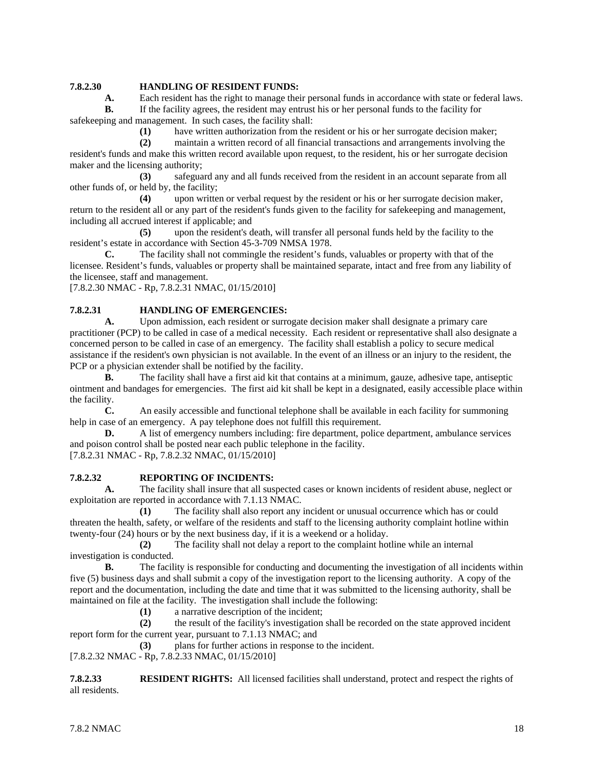### **7.8.2.30 HANDLING OF RESIDENT FUNDS:**

**A.** Each resident has the right to manage their personal funds in accordance with state or federal laws.<br>**B.** If the facility agrees, the resident may entrust his or her personal funds to the facility for

**B.** If the facility agrees, the resident may entrust his or her personal funds to the facility for safekeeping and management. In such cases, the facility shall:

**(1)** have written authorization from the resident or his or her surrogate decision maker;

**(2)** maintain a written record of all financial transactions and arrangements involving the resident's funds and make this written record available upon request, to the resident, his or her surrogate decision maker and the licensing authority;

**(3)** safeguard any and all funds received from the resident in an account separate from all other funds of, or held by, the facility;

**(4)** upon written or verbal request by the resident or his or her surrogate decision maker, return to the resident all or any part of the resident's funds given to the facility for safekeeping and management, including all accrued interest if applicable; and

**(5)** upon the resident's death, will transfer all personal funds held by the facility to the resident's estate in accordance with Section 45-3-709 NMSA 1978.

**C.** The facility shall not commingle the resident's funds, valuables or property with that of the licensee. Resident's funds, valuables or property shall be maintained separate, intact and free from any liability of the licensee, staff and management.

[7.8.2.30 NMAC - Rp, 7.8.2.31 NMAC, 01/15/2010]

### **7.8.2.31 HANDLING OF EMERGENCIES:**

**A.** Upon admission, each resident or surrogate decision maker shall designate a primary care practitioner (PCP) to be called in case of a medical necessity. Each resident or representative shall also designate a concerned person to be called in case of an emergency. The facility shall establish a policy to secure medical assistance if the resident's own physician is not available. In the event of an illness or an injury to the resident, the PCP or a physician extender shall be notified by the facility.

**B.** The facility shall have a first aid kit that contains at a minimum, gauze, adhesive tape, antiseptic ointment and bandages for emergencies. The first aid kit shall be kept in a designated, easily accessible place within the facility.

**C.** An easily accessible and functional telephone shall be available in each facility for summoning help in case of an emergency. A pay telephone does not fulfill this requirement.

**D.** A list of emergency numbers including: fire department, police department, ambulance services and poison control shall be posted near each public telephone in the facility.

[7.8.2.31 NMAC - Rp, 7.8.2.32 NMAC, 01/15/2010]

#### **7.8.2.32 REPORTING OF INCIDENTS:**

**A.** The facility shall insure that all suspected cases or known incidents of resident abuse, neglect or exploitation are reported in accordance with 7.1.13 NMAC.

**(1)** The facility shall also report any incident or unusual occurrence which has or could threaten the health, safety, or welfare of the residents and staff to the licensing authority complaint hotline within twenty-four (24) hours or by the next business day, if it is a weekend or a holiday.

**(2)** The facility shall not delay a report to the complaint hotline while an internal investigation is conducted.

**B.** The facility is responsible for conducting and documenting the investigation of all incidents within five (5) business days and shall submit a copy of the investigation report to the licensing authority. A copy of the report and the documentation, including the date and time that it was submitted to the licensing authority, shall be maintained on file at the facility. The investigation shall include the following:

**(1)** a narrative description of the incident;

**(2)** the result of the facility's investigation shall be recorded on the state approved incident report form for the current year, pursuant to 7.1.13 NMAC; and

**(3)** plans for further actions in response to the incident.

[7.8.2.32 NMAC - Rp, 7.8.2.33 NMAC, 01/15/2010]

**7.8.2.33 RESIDENT RIGHTS:** All licensed facilities shall understand, protect and respect the rights of all residents.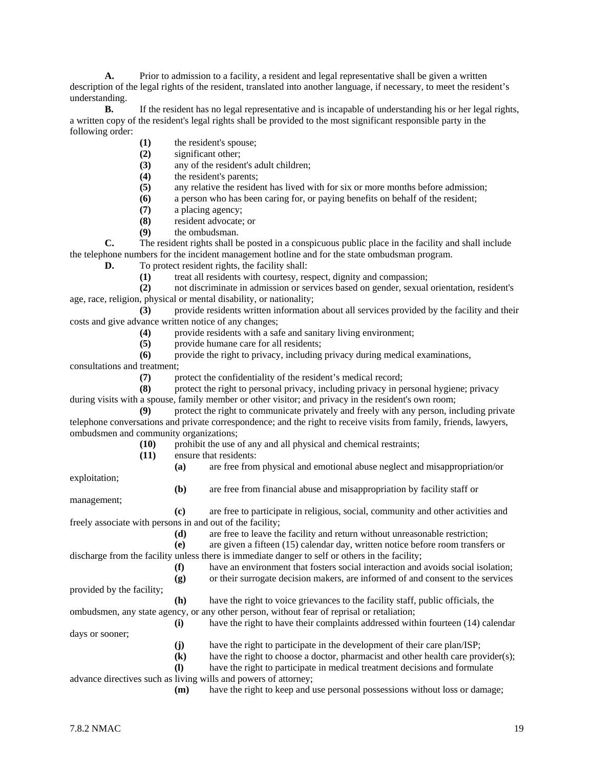**A.** Prior to admission to a facility, a resident and legal representative shall be given a written description of the legal rights of the resident, translated into another language, if necessary, to meet the resident's understanding.

**B.** If the resident has no legal representative and is incapable of understanding his or her legal rights, a written copy of the resident's legal rights shall be provided to the most significant responsible party in the following order:

- **(1)** the resident's spouse;
- **(2)** significant other;
- **(3)** any of the resident's adult children;
- **(4)** the resident's parents;
- **(5)** any relative the resident has lived with for six or more months before admission;
- **(6)** a person who has been caring for, or paying benefits on behalf of the resident;
- **(7)** a placing agency;
- **(8)** resident advocate; or
- **(9)** the ombudsman.

**C.** The resident rights shall be posted in a conspicuous public place in the facility and shall include the telephone numbers for the incident management hotline and for the state ombudsman program.

**D.** To protect resident rights, the facility shall:

**(1)** treat all residents with courtesy, respect, dignity and compassion;

**(2)** not discriminate in admission or services based on gender, sexual orientation, resident's age, race, religion, physical or mental disability, or nationality;

**(3)** provide residents written information about all services provided by the facility and their costs and give advance written notice of any changes;

**(4)** provide residents with a safe and sanitary living environment;

**(5)** provide humane care for all residents;

**(6)** provide the right to privacy, including privacy during medical examinations,

consultations and treatment;

**(7)** protect the confidentiality of the resident's medical record;

**(8)** protect the right to personal privacy, including privacy in personal hygiene; privacy during visits with a spouse, family member or other visitor; and privacy in the resident's own room;

**(9)** protect the right to communicate privately and freely with any person, including private telephone conversations and private correspondence; and the right to receive visits from family, friends, lawyers, ombudsmen and community organizations;

- **(10)** prohibit the use of any and all physical and chemical restraints;
- **(11)** ensure that residents:
	- **(a)** are free from physical and emotional abuse neglect and misappropriation/or

**(b)** are free from financial abuse and misappropriation by facility staff or

exploitation; management;

**(c)** are free to participate in religious, social, community and other activities and freely associate with persons in and out of the facility;

**(d)** are free to leave the facility and return without unreasonable restriction;

**(e)** are given a fifteen (15) calendar day, written notice before room transfers or discharge from the facility unless there is immediate danger to self or others in the facility;

> **(f)** have an environment that fosters social interaction and avoids social isolation; **(g)** or their surrogate decision makers, are informed of and consent to the services

provided by the facility;

**(h)** have the right to voice grievances to the facility staff, public officials, the ombudsmen, any state agency, or any other person, without fear of reprisal or retaliation;

**(i)** have the right to have their complaints addressed within fourteen (14) calendar days or sooner; **(j)** have the right to participate in the development of their care plan/ISP; **(k)** have the right to choose a doctor, pharmacist and other health care provider(s);

**(l)** have the right to participate in medical treatment decisions and formulate

advance directives such as living wills and powers of attorney;

**(m)** have the right to keep and use personal possessions without loss or damage;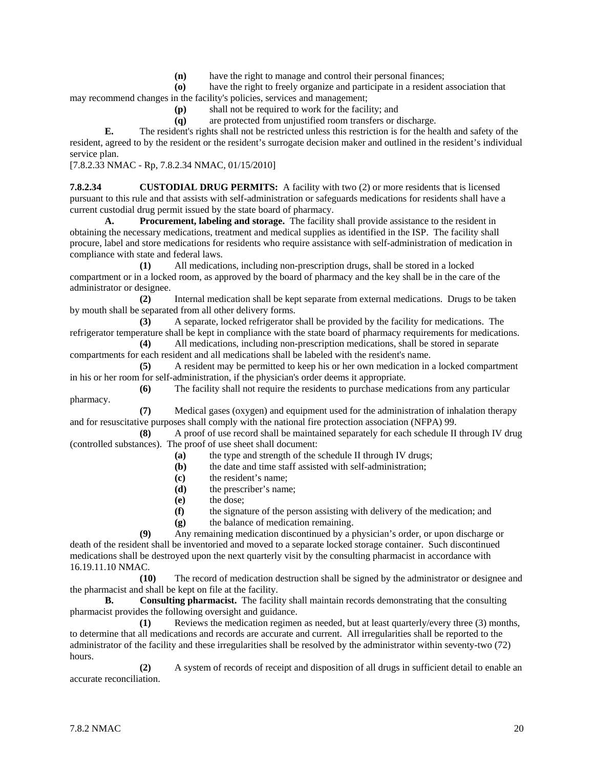**(n)** have the right to manage and control their personal finances;

**(o)** have the right to freely organize and participate in a resident association that may recommend changes in the facility's policies, services and management;

- **(p)** shall not be required to work for the facility; and
- **(q)** are protected from unjustified room transfers or discharge.

**E.** The resident's rights shall not be restricted unless this restriction is for the health and safety of the resident, agreed to by the resident or the resident's surrogate decision maker and outlined in the resident's individual service plan.

[7.8.2.33 NMAC - Rp, 7.8.2.34 NMAC, 01/15/2010]

**7.8.2.34 CUSTODIAL DRUG PERMITS:** A facility with two (2) or more residents that is licensed pursuant to this rule and that assists with self-administration or safeguards medications for residents shall have a current custodial drug permit issued by the state board of pharmacy.

**A. Procurement, labeling and storage.** The facility shall provide assistance to the resident in obtaining the necessary medications, treatment and medical supplies as identified in the ISP. The facility shall procure, label and store medications for residents who require assistance with self-administration of medication in compliance with state and federal laws.

**(1)** All medications, including non-prescription drugs, shall be stored in a locked compartment or in a locked room, as approved by the board of pharmacy and the key shall be in the care of the administrator or designee.

**(2)** Internal medication shall be kept separate from external medications. Drugs to be taken by mouth shall be separated from all other delivery forms.

**(3)** A separate, locked refrigerator shall be provided by the facility for medications. The refrigerator temperature shall be kept in compliance with the state board of pharmacy requirements for medications.

**(4)** All medications, including non-prescription medications, shall be stored in separate compartments for each resident and all medications shall be labeled with the resident's name.

**(5)** A resident may be permitted to keep his or her own medication in a locked compartment in his or her room for self-administration, if the physician's order deems it appropriate.

**(6)** The facility shall not require the residents to purchase medications from any particular pharmacy.

**(7)** Medical gases (oxygen) and equipment used for the administration of inhalation therapy and for resuscitative purposes shall comply with the national fire protection association (NFPA) 99.

**(8)** A proof of use record shall be maintained separately for each schedule II through IV drug (controlled substances). The proof of use sheet shall document:

- **(a)** the type and strength of the schedule II through IV drugs;
- **(b)** the date and time staff assisted with self-administration;
- **(c)** the resident's name;
- **(d)** the prescriber's name;
- **(e)** the dose;
- **(f)** the signature of the person assisting with delivery of the medication; and
- **(g)** the balance of medication remaining.

**(9)** Any remaining medication discontinued by a physician's order, or upon discharge or death of the resident shall be inventoried and moved to a separate locked storage container. Such discontinued medications shall be destroyed upon the next quarterly visit by the consulting pharmacist in accordance with 16.19.11.10 NMAC.

**(10)** The record of medication destruction shall be signed by the administrator or designee and the pharmacist and shall be kept on file at the facility.

**B. Consulting pharmacist.** The facility shall maintain records demonstrating that the consulting pharmacist provides the following oversight and guidance.

**(1)** Reviews the medication regimen as needed, but at least quarterly/every three (3) months, to determine that all medications and records are accurate and current. All irregularities shall be reported to the administrator of the facility and these irregularities shall be resolved by the administrator within seventy-two (72) hours.

**(2)** A system of records of receipt and disposition of all drugs in sufficient detail to enable an accurate reconciliation.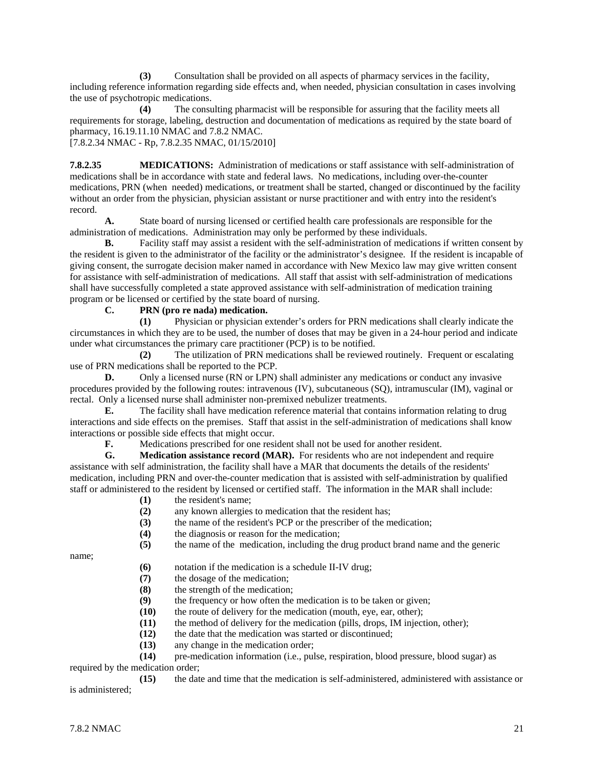**(3)** Consultation shall be provided on all aspects of pharmacy services in the facility, including reference information regarding side effects and, when needed, physician consultation in cases involving the use of psychotropic medications.

**(4)** The consulting pharmacist will be responsible for assuring that the facility meets all requirements for storage, labeling, destruction and documentation of medications as required by the state board of pharmacy, 16.19.11.10 NMAC and 7.8.2 NMAC.

[7.8.2.34 NMAC - Rp, 7.8.2.35 NMAC, 01/15/2010]

**7.8.2.35 MEDICATIONS:** Administration of medications or staff assistance with self-administration of medications shall be in accordance with state and federal laws. No medications, including over-the-counter medications, PRN (when needed) medications, or treatment shall be started, changed or discontinued by the facility without an order from the physician, physician assistant or nurse practitioner and with entry into the resident's record.

**A.** State board of nursing licensed or certified health care professionals are responsible for the administration of medications. Administration may only be performed by these individuals.

**B.** Facility staff may assist a resident with the self-administration of medications if written consent by the resident is given to the administrator of the facility or the administrator's designee. If the resident is incapable of giving consent, the surrogate decision maker named in accordance with New Mexico law may give written consent for assistance with self-administration of medications. All staff that assist with self-administration of medications shall have successfully completed a state approved assistance with self-administration of medication training program or be licensed or certified by the state board of nursing.

#### **C. PRN (pro re nada) medication.**

**(1)** Physician or physician extender's orders for PRN medications shall clearly indicate the circumstances in which they are to be used, the number of doses that may be given in a 24-hour period and indicate under what circumstances the primary care practitioner (PCP) is to be notified.

**(2)** The utilization of PRN medications shall be reviewed routinely. Frequent or escalating use of PRN medications shall be reported to the PCP.

**D.** Only a licensed nurse (RN or LPN) shall administer any medications or conduct any invasive procedures provided by the following routes: intravenous (IV), subcutaneous (SQ), intramuscular (IM), vaginal or rectal. Only a licensed nurse shall administer non-premixed nebulizer treatments.

**E.** The facility shall have medication reference material that contains information relating to drug interactions and side effects on the premises. Staff that assist in the self-administration of medications shall know interactions or possible side effects that might occur.

**F.** Medications prescribed for one resident shall not be used for another resident.

**G. Medication assistance record (MAR).** For residents who are not independent and require assistance with self administration, the facility shall have a MAR that documents the details of the residents' medication, including PRN and over-the-counter medication that is assisted with self-administration by qualified staff or administered to the resident by licensed or certified staff. The information in the MAR shall include:

- **(1)** the resident's name;
- **(2)** any known allergies to medication that the resident has;
- (3) the name of the resident's PCP or the prescriber of the medication;<br>(4) the diagnosis or reason for the medication;
- **(4)** the diagnosis or reason for the medication;

**(5)** the name of the medication, including the drug product brand name and the generic

name;

- **(6)** notation if the medication is a schedule II-IV drug;
- **(7)** the dosage of the medication;
- **(8)** the strength of the medication;
- **(9)** the frequency or how often the medication is to be taken or given;
- **(10)** the route of delivery for the medication (mouth, eye, ear, other);
- **(11)** the method of delivery for the medication (pills, drops, IM injection, other);
- **(12)** the date that the medication was started or discontinued;
- **(13)** any change in the medication order;

**(14)** pre-medication information (i.e., pulse, respiration, blood pressure, blood sugar) as

# required by the medication order;

**(15)** the date and time that the medication is self-administered, administered with assistance or is administered;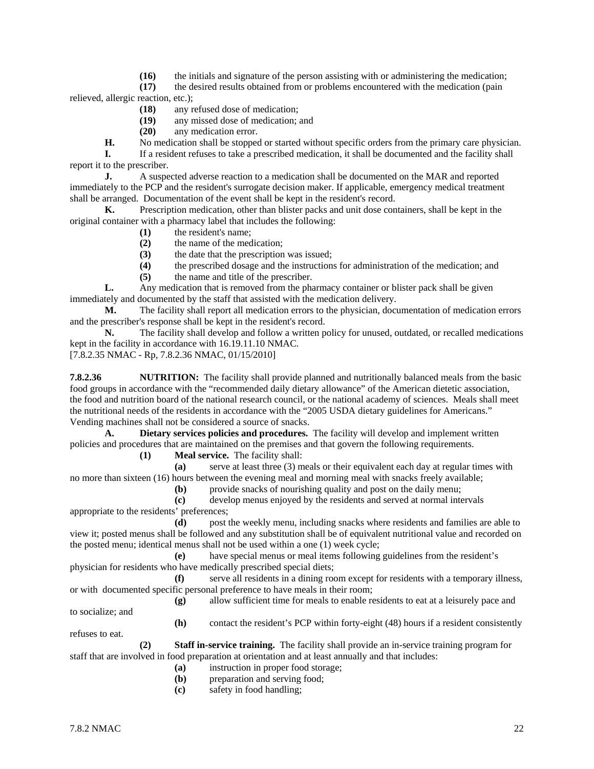**(16)** the initials and signature of the person assisting with or administering the medication;

**(17)** the desired results obtained from or problems encountered with the medication (pain relieved, allergic reaction, etc.);

**(18)** any refused dose of medication;

**(19)** any missed dose of medication; and

**(20)** any medication error.

**H.** No medication shall be stopped or started without specific orders from the primary care physician.

**I.** If a resident refuses to take a prescribed medication, it shall be documented and the facility shall report it to the prescriber.

**J.** A suspected adverse reaction to a medication shall be documented on the MAR and reported immediately to the PCP and the resident's surrogate decision maker. If applicable, emergency medical treatment shall be arranged. Documentation of the event shall be kept in the resident's record.<br> **K.** Prescription medication, other than blister packs and unit dose com

Prescription medication, other than blister packs and unit dose containers, shall be kept in the original container with a pharmacy label that includes the following:

- **(1)** the resident's name;
- **(2)** the name of the medication;
- **(3)** the date that the prescription was issued;
- **(4)** the prescribed dosage and the instructions for administration of the medication; and

**(5)** the name and title of the prescriber.

**L.** Any medication that is removed from the pharmacy container or blister pack shall be given immediately and documented by the staff that assisted with the medication delivery.

**M.** The facility shall report all medication errors to the physician, documentation of medication errors and the prescriber's response shall be kept in the resident's record.

**N.** The facility shall develop and follow a written policy for unused, outdated, or recalled medications kept in the facility in accordance with 16.19.11.10 NMAC.

[7.8.2.35 NMAC - Rp, 7.8.2.36 NMAC, 01/15/2010]

**7.8.2.36 NUTRITION:** The facility shall provide planned and nutritionally balanced meals from the basic food groups in accordance with the "recommended daily dietary allowance" of the American dietetic association, the food and nutrition board of the national research council, or the national academy of sciences. Meals shall meet the nutritional needs of the residents in accordance with the "2005 USDA dietary guidelines for Americans." Vending machines shall not be considered a source of snacks.

**A. Dietary services policies and procedures.** The facility will develop and implement written policies and procedures that are maintained on the premises and that govern the following requirements.

**(1) Meal service.** The facility shall:

**(a)** serve at least three (3) meals or their equivalent each day at regular times with no more than sixteen (16) hours between the evening meal and morning meal with snacks freely available;

**(b)** provide snacks of nourishing quality and post on the daily menu;

**(c)** develop menus enjoyed by the residents and served at normal intervals appropriate to the residents' preferences;

**(d)** post the weekly menu, including snacks where residents and families are able to view it; posted menus shall be followed and any substitution shall be of equivalent nutritional value and recorded on the posted menu; identical menus shall not be used within a one (1) week cycle;

**(e)** have special menus or meal items following guidelines from the resident's physician for residents who have medically prescribed special diets;

**(f)** serve all residents in a dining room except for residents with a temporary illness, or with documented specific personal preference to have meals in their room;

**(g)** allow sufficient time for meals to enable residents to eat at a leisurely pace and to socialize; and

**(h)** contact the resident's PCP within forty-eight (48) hours if a resident consistently

refuses to eat.

**(2) Staff in-service training.** The facility shall provide an in-service training program for staff that are involved in food preparation at orientation and at least annually and that includes:

- (a) instruction in proper food storage;<br>(b) preparation and serving food;
- preparation and serving food;
- **(c)** safety in food handling;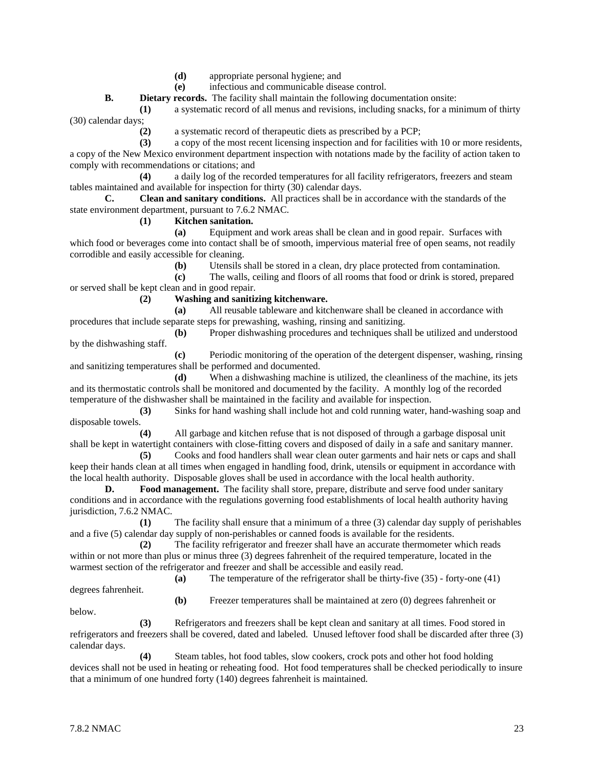- **(d)** appropriate personal hygiene; and
- **(e)** infectious and communicable disease control.

**B. Dietary records.** The facility shall maintain the following documentation onsite:

**(1)** a systematic record of all menus and revisions, including snacks, for a minimum of thirty (30) calendar days;

**(2)** a systematic record of therapeutic diets as prescribed by a PCP;

**(3)** a copy of the most recent licensing inspection and for facilities with 10 or more residents, a copy of the New Mexico environment department inspection with notations made by the facility of action taken to comply with recommendations or citations; and

**(4)** a daily log of the recorded temperatures for all facility refrigerators, freezers and steam tables maintained and available for inspection for thirty (30) calendar days.

**C. Clean and sanitary conditions.** All practices shall be in accordance with the standards of the state environment department, pursuant to 7.6.2 NMAC.

**(1) Kitchen sanitation.**

**(a)** Equipment and work areas shall be clean and in good repair. Surfaces with which food or beverages come into contact shall be of smooth, impervious material free of open seams, not readily corrodible and easily accessible for cleaning.

**(b)** Utensils shall be stored in a clean, dry place protected from contamination.

**(c)** The walls, ceiling and floors of all rooms that food or drink is stored, prepared or served shall be kept clean and in good repair.

**(2) Washing and sanitizing kitchenware.**

**(a)** All reusable tableware and kitchenware shall be cleaned in accordance with procedures that include separate steps for prewashing, washing, rinsing and sanitizing.

**(b)** Proper dishwashing procedures and techniques shall be utilized and understood by the dishwashing staff.

**(c)** Periodic monitoring of the operation of the detergent dispenser, washing, rinsing and sanitizing temperatures shall be performed and documented.

**(d)** When a dishwashing machine is utilized, the cleanliness of the machine, its jets and its thermostatic controls shall be monitored and documented by the facility. A monthly log of the recorded temperature of the dishwasher shall be maintained in the facility and available for inspection.

**(3)** Sinks for hand washing shall include hot and cold running water, hand-washing soap and disposable towels.

**(4)** All garbage and kitchen refuse that is not disposed of through a garbage disposal unit shall be kept in watertight containers with close-fitting covers and disposed of daily in a safe and sanitary manner.

**(5)** Cooks and food handlers shall wear clean outer garments and hair nets or caps and shall keep their hands clean at all times when engaged in handling food, drink, utensils or equipment in accordance with the local health authority. Disposable gloves shall be used in accordance with the local health authority.

**D. Food management.** The facility shall store, prepare, distribute and serve food under sanitary conditions and in accordance with the regulations governing food establishments of local health authority having jurisdiction, 7.6.2 NMAC.

**(1)** The facility shall ensure that a minimum of a three (3) calendar day supply of perishables and a five (5) calendar day supply of non-perishables or canned foods is available for the residents.

**(2)** The facility refrigerator and freezer shall have an accurate thermometer which reads within or not more than plus or minus three (3) degrees fahrenheit of the required temperature, located in the warmest section of the refrigerator and freezer and shall be accessible and easily read.

**(a)** The temperature of the refrigerator shall be thirty-five (35) - forty-one (41)

degrees fahrenheit.

**(b)** Freezer temperatures shall be maintained at zero (0) degrees fahrenheit or

below.

**(3)** Refrigerators and freezers shall be kept clean and sanitary at all times. Food stored in refrigerators and freezers shall be covered, dated and labeled. Unused leftover food shall be discarded after three (3) calendar days.

**(4)** Steam tables, hot food tables, slow cookers, crock pots and other hot food holding devices shall not be used in heating or reheating food. Hot food temperatures shall be checked periodically to insure that a minimum of one hundred forty (140) degrees fahrenheit is maintained.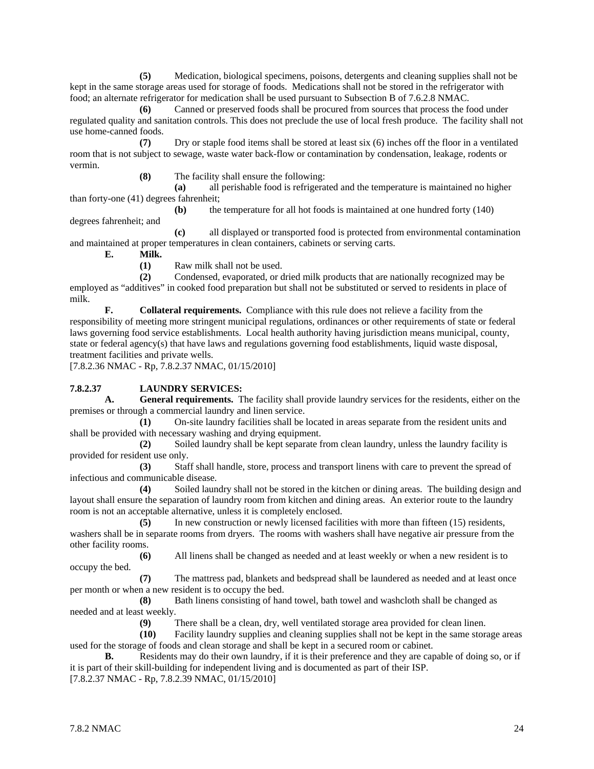**(5)** Medication, biological specimens, poisons, detergents and cleaning supplies shall not be kept in the same storage areas used for storage of foods. Medications shall not be stored in the refrigerator with food; an alternate refrigerator for medication shall be used pursuant to Subsection B of 7.6.2.8 NMAC.

**(6)** Canned or preserved foods shall be procured from sources that process the food under regulated quality and sanitation controls. This does not preclude the use of local fresh produce. The facility shall not use home-canned foods.

**(7)** Dry or staple food items shall be stored at least six (6) inches off the floor in a ventilated room that is not subject to sewage, waste water back-flow or contamination by condensation, leakage, rodents or vermin.

**(8)** The facility shall ensure the following:

**(a)** all perishable food is refrigerated and the temperature is maintained no higher than forty-one (41) degrees fahrenheit;

**(b)** the temperature for all hot foods is maintained at one hundred forty (140)

**(c)** all displayed or transported food is protected from environmental contamination and maintained at proper temperatures in clean containers, cabinets or serving carts.

**E. Milk.**

degrees fahrenheit; and

**(1)** Raw milk shall not be used.

**(2)** Condensed, evaporated, or dried milk products that are nationally recognized may be employed as "additives" in cooked food preparation but shall not be substituted or served to residents in place of milk.

**F. Collateral requirements.** Compliance with this rule does not relieve a facility from the responsibility of meeting more stringent municipal regulations, ordinances or other requirements of state or federal laws governing food service establishments. Local health authority having jurisdiction means municipal, county, state or federal agency(s) that have laws and regulations governing food establishments, liquid waste disposal, treatment facilities and private wells.

[7.8.2.36 NMAC - Rp, 7.8.2.37 NMAC, 01/15/2010]

# **7.8.2.37 LAUNDRY SERVICES:**

**A. General requirements.** The facility shall provide laundry services for the residents, either on the premises or through a commercial laundry and linen service.

**(1)** On-site laundry facilities shall be located in areas separate from the resident units and shall be provided with necessary washing and drying equipment.

**(2)** Soiled laundry shall be kept separate from clean laundry, unless the laundry facility is provided for resident use only.

**(3)** Staff shall handle, store, process and transport linens with care to prevent the spread of infectious and communicable disease.

**(4)** Soiled laundry shall not be stored in the kitchen or dining areas. The building design and layout shall ensure the separation of laundry room from kitchen and dining areas. An exterior route to the laundry room is not an acceptable alternative, unless it is completely enclosed.

**(5)** In new construction or newly licensed facilities with more than fifteen (15) residents, washers shall be in separate rooms from dryers. The rooms with washers shall have negative air pressure from the other facility rooms.

**(6)** All linens shall be changed as needed and at least weekly or when a new resident is to occupy the bed.

**(7)** The mattress pad, blankets and bedspread shall be laundered as needed and at least once per month or when a new resident is to occupy the bed.

**(8)** Bath linens consisting of hand towel, bath towel and washcloth shall be changed as needed and at least weekly.

**(9)** There shall be a clean, dry, well ventilated storage area provided for clean linen.

**(10)** Facility laundry supplies and cleaning supplies shall not be kept in the same storage areas used for the storage of foods and clean storage and shall be kept in a secured room or cabinet.

**B.** Residents may do their own laundry, if it is their preference and they are capable of doing so, or if it is part of their skill-building for independent living and is documented as part of their ISP.

[7.8.2.37 NMAC - Rp, 7.8.2.39 NMAC, 01/15/2010]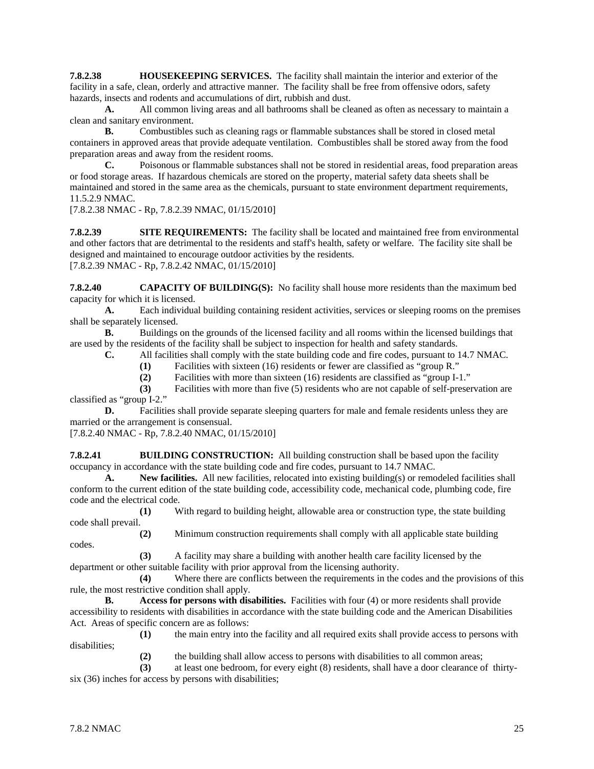**7.8.2.38 HOUSEKEEPING SERVICES.** The facility shall maintain the interior and exterior of the facility in a safe, clean, orderly and attractive manner. The facility shall be free from offensive odors, safety hazards, insects and rodents and accumulations of dirt, rubbish and dust.<br>A. All common living areas and all bathrooms shall be cle

**A.** All common living areas and all bathrooms shall be cleaned as often as necessary to maintain a clean and sanitary environment.

**B.** Combustibles such as cleaning rags or flammable substances shall be stored in closed metal containers in approved areas that provide adequate ventilation. Combustibles shall be stored away from the food preparation areas and away from the resident rooms.

**C.** Poisonous or flammable substances shall not be stored in residential areas, food preparation areas or food storage areas. If hazardous chemicals are stored on the property, material safety data sheets shall be maintained and stored in the same area as the chemicals, pursuant to state environment department requirements, 11.5.2.9 NMAC.

[7.8.2.38 NMAC - Rp, 7.8.2.39 NMAC, 01/15/2010]

**7.8.2.39 SITE REQUIREMENTS:** The facility shall be located and maintained free from environmental and other factors that are detrimental to the residents and staff's health, safety or welfare. The facility site shall be designed and maintained to encourage outdoor activities by the residents. [7.8.2.39 NMAC - Rp, 7.8.2.42 NMAC, 01/15/2010]

**7.8.2.40 CAPACITY OF BUILDING(S):** No facility shall house more residents than the maximum bed capacity for which it is licensed.

**A.** Each individual building containing resident activities, services or sleeping rooms on the premises shall be separately licensed.

**B.** Buildings on the grounds of the licensed facility and all rooms within the licensed buildings that are used by the residents of the facility shall be subject to inspection for health and safety standards.

**C.** All facilities shall comply with the state building code and fire codes, pursuant to 14.7 NMAC.

**(1)** Facilities with sixteen (16) residents or fewer are classified as "group R."

**(2)** Facilities with more than sixteen (16) residents are classified as "group I-1."

**(3)** Facilities with more than five (5) residents who are not capable of self-preservation are classified as "group I-2."

**D.** Facilities shall provide separate sleeping quarters for male and female residents unless they are married or the arrangement is consensual.

[7.8.2.40 NMAC - Rp, 7.8.2.40 NMAC, 01/15/2010]

**7.8.2.41 BUILDING CONSTRUCTION:** All building construction shall be based upon the facility occupancy in accordance with the state building code and fire codes, pursuant to 14.7 NMAC.

**A. New facilities.** All new facilities, relocated into existing building(s) or remodeled facilities shall conform to the current edition of the state building code, accessibility code, mechanical code, plumbing code, fire code and the electrical code.

**(1)** With regard to building height, allowable area or construction type, the state building code shall prevail.

codes.

**(2)** Minimum construction requirements shall comply with all applicable state building

**(3)** A facility may share a building with another health care facility licensed by the department or other suitable facility with prior approval from the licensing authority.

**(4)** Where there are conflicts between the requirements in the codes and the provisions of this rule, the most restrictive condition shall apply.

**B. Access for persons with disabilities.** Facilities with four (4) or more residents shall provide accessibility to residents with disabilities in accordance with the state building code and the American Disabilities Act. Areas of specific concern are as follows:

**(1)** the main entry into the facility and all required exits shall provide access to persons with disabilities;

(2) the building shall allow access to persons with disabilities to all common areas;<br>(3) at least one bedroom, for every eight (8) residents, shall have a door clearance of

**(3)** at least one bedroom, for every eight (8) residents, shall have a door clearance of thirtysix (36) inches for access by persons with disabilities;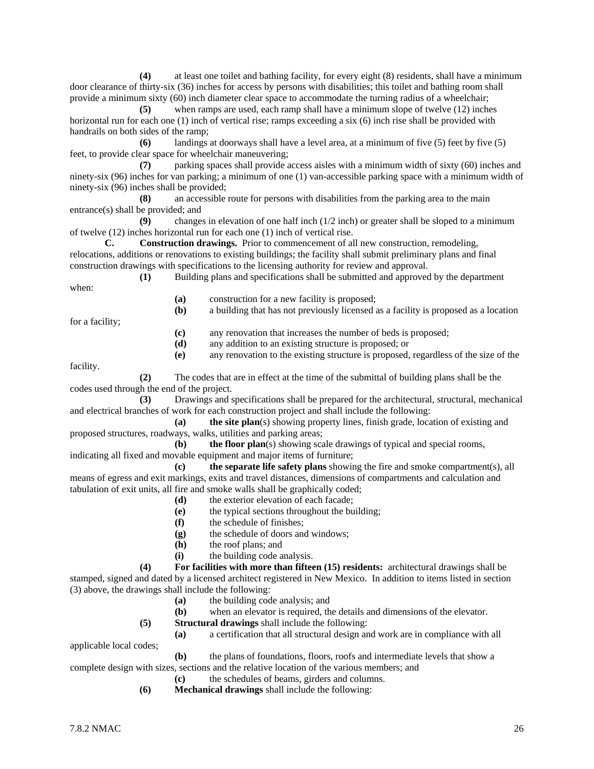**(4)** at least one toilet and bathing facility, for every eight (8) residents, shall have a minimum door clearance of thirty-six (36) inches for access by persons with disabilities; this toilet and bathing room shall provide a minimum sixty (60) inch diameter clear space to accommodate the turning radius of a wheelchair;

**(5)** when ramps are used, each ramp shall have a minimum slope of twelve (12) inches horizontal run for each one (1) inch of vertical rise; ramps exceeding a six (6) inch rise shall be provided with handrails on both sides of the ramp;

**(6)** landings at doorways shall have a level area, at a minimum of five (5) feet by five (5) feet, to provide clear space for wheelchair maneuvering;

**(7)** parking spaces shall provide access aisles with a minimum width of sixty (60) inches and ninety-six (96) inches for van parking; a minimum of one (1) van-accessible parking space with a minimum width of ninety-six (96) inches shall be provided;

**(8)** an accessible route for persons with disabilities from the parking area to the main entrance(s) shall be provided; and

**(9)** changes in elevation of one half inch (1/2 inch) or greater shall be sloped to a minimum of twelve (12) inches horizontal run for each one (1) inch of vertical rise.

**C. Construction drawings.** Prior to commencement of all new construction, remodeling, relocations, additions or renovations to existing buildings; the facility shall submit preliminary plans and final construction drawings with specifications to the licensing authority for review and approval. **(1)** Building plans and specifications shall be submitted and approved by the department

when:

**(a)** construction for a new facility is proposed;

**(b)** a building that has not previously licensed as a facility is proposed as a location

for a facility;

**(c)** any renovation that increases the number of beds is proposed;

**(d)** any addition to an existing structure is proposed; or

**(e)** any renovation to the existing structure is proposed, regardless of the size of the

facility.

**(2)** The codes that are in effect at the time of the submittal of building plans shall be the codes used through the end of the project.

**(3)** Drawings and specifications shall be prepared for the architectural, structural, mechanical and electrical branches of work for each construction project and shall include the following:

**(a) the site plan**(s) showing property lines, finish grade, location of existing and proposed structures, roadways, walks, utilities and parking areas;<br>(b) the floor plan(s) showing sca

**(b) the floor plan**(s) showing scale drawings of typical and special rooms, indicating all fixed and movable equipment and major items of furniture;

**(c) the separate life safety plans** showing the fire and smoke compartment(s), all means of egress and exit markings, exits and travel distances, dimensions of compartments and calculation and tabulation of exit units, all fire and smoke walls shall be graphically coded;

- **(d)** the exterior elevation of each facade;
- **(e)** the typical sections throughout the building;
- **(f)** the schedule of finishes;
- **(g)** the schedule of doors and windows;
- **(h)** the roof plans; and
- **(i)** the building code analysis.

**(4) For facilities with more than fifteen (15) residents:** architectural drawings shall be stamped, signed and dated by a licensed architect registered in New Mexico. In addition to items listed in section (3) above, the drawings shall include the following:

- **(a)** the building code analysis; and
- **(b)** when an elevator is required, the details and dimensions of the elevator.
- **(5) Structural drawings** shall include the following:
- **(a)** a certification that all structural design and work are in compliance with all applicable local codes;

**(b)** the plans of foundations, floors, roofs and intermediate levels that show a complete design with sizes, sections and the relative location of the various members; and

- **(c)** the schedules of beams, girders and columns.
- **(6) Mechanical drawings** shall include the following: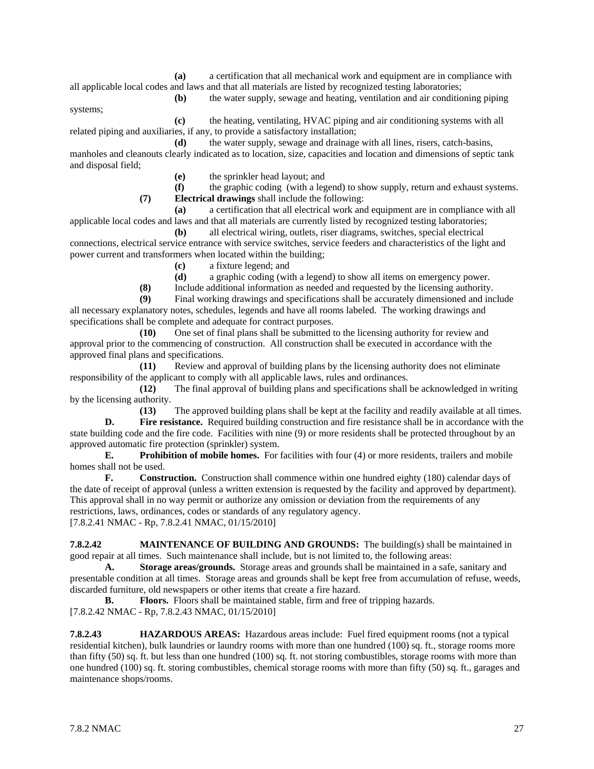**(a)** a certification that all mechanical work and equipment are in compliance with all applicable local codes and laws and that all materials are listed by recognized testing laboratories;

systems;

**(b)** the water supply, sewage and heating, ventilation and air conditioning piping

**(c)** the heating, ventilating, HVAC piping and air conditioning systems with all related piping and auxiliaries, if any, to provide a satisfactory installation;

**(d)** the water supply, sewage and drainage with all lines, risers, catch-basins, manholes and cleanouts clearly indicated as to location, size, capacities and location and dimensions of septic tank and disposal field;

**(e)** the sprinkler head layout; and

**(f)** the graphic coding (with a legend) to show supply, return and exhaust systems. **(7) Electrical drawings** shall include the following:

**(a)** a certification that all electrical work and equipment are in compliance with all applicable local codes and laws and that all materials are currently listed by recognized testing laboratories;

**(b)** all electrical wiring, outlets, riser diagrams, switches, special electrical connections, electrical service entrance with service switches, service feeders and characteristics of the light and power current and transformers when located within the building;

**(c)** a fixture legend; and

**(d)** a graphic coding (with a legend) to show all items on emergency power.

**(8)** Include additional information as needed and requested by the licensing authority.

Final working drawings and specifications shall be accurately dimensioned and include all necessary explanatory notes, schedules, legends and have all rooms labeled. The working drawings and specifications shall be complete and adequate for contract purposes.

**(10)** One set of final plans shall be submitted to the licensing authority for review and approval prior to the commencing of construction. All construction shall be executed in accordance with the approved final plans and specifications.

**(11)** Review and approval of building plans by the licensing authority does not eliminate responsibility of the applicant to comply with all applicable laws, rules and ordinances.

**(12)** The final approval of building plans and specifications shall be acknowledged in writing by the licensing authority.

**(13)** The approved building plans shall be kept at the facility and readily available at all times. **D. Fire resistance.** Required building construction and fire resistance shall be in accordance with the state building code and the fire code. Facilities with nine (9) or more residents shall be protected throughout by an approved automatic fire protection (sprinkler) system.

**E. Prohibition of mobile homes.** For facilities with four (4) or more residents, trailers and mobile homes shall not be used.

**F. Construction.** Construction shall commence within one hundred eighty (180) calendar days of the date of receipt of approval (unless a written extension is requested by the facility and approved by department). This approval shall in no way permit or authorize any omission or deviation from the requirements of any restrictions, laws, ordinances, codes or standards of any regulatory agency. [7.8.2.41 NMAC - Rp, 7.8.2.41 NMAC, 01/15/2010]

**7.8.2.42 MAINTENANCE OF BUILDING AND GROUNDS:** The building(s) shall be maintained in good repair at all times. Such maintenance shall include, but is not limited to, the following areas:

**A. Storage areas/grounds.** Storage areas and grounds shall be maintained in a safe, sanitary and presentable condition at all times. Storage areas and grounds shall be kept free from accumulation of refuse, weeds, discarded furniture, old newspapers or other items that create a fire hazard.

**B. Floors.** Floors shall be maintained stable, firm and free of tripping hazards. [7.8.2.42 NMAC - Rp, 7.8.2.43 NMAC, 01/15/2010]

**7.8.2.43 HAZARDOUS AREAS:** Hazardous areas include: Fuel fired equipment rooms (not a typical residential kitchen), bulk laundries or laundry rooms with more than one hundred (100) sq. ft., storage rooms more than fifty (50) sq. ft. but less than one hundred (100) sq. ft. not storing combustibles, storage rooms with more than one hundred (100) sq. ft. storing combustibles, chemical storage rooms with more than fifty (50) sq. ft., garages and maintenance shops/rooms.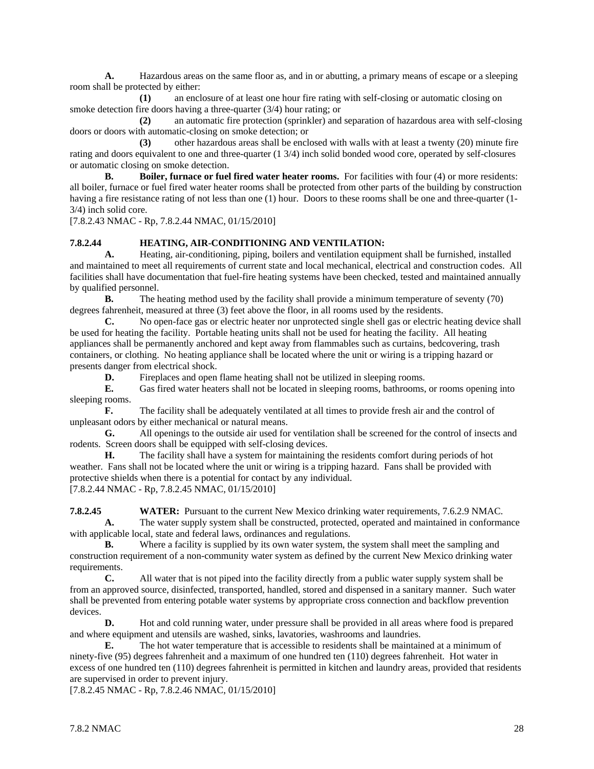**A.** Hazardous areas on the same floor as, and in or abutting, a primary means of escape or a sleeping room shall be protected by either:

**(1)** an enclosure of at least one hour fire rating with self-closing or automatic closing on smoke detection fire doors having a three-quarter (3/4) hour rating; or

**(2)** an automatic fire protection (sprinkler) and separation of hazardous area with self-closing doors or doors with automatic-closing on smoke detection; or

**(3)** other hazardous areas shall be enclosed with walls with at least a twenty (20) minute fire rating and doors equivalent to one and three-quarter (1 3/4) inch solid bonded wood core, operated by self-closures or automatic closing on smoke detection.

**B. Boiler, furnace or fuel fired water heater rooms.** For facilities with four (4) or more residents: all boiler, furnace or fuel fired water heater rooms shall be protected from other parts of the building by construction having a fire resistance rating of not less than one (1) hour. Doors to these rooms shall be one and three-quarter (1-3/4) inch solid core.

[7.8.2.43 NMAC - Rp, 7.8.2.44 NMAC, 01/15/2010]

#### **7.8.2.44 HEATING, AIR-CONDITIONING AND VENTILATION:**

**A.** Heating, air-conditioning, piping, boilers and ventilation equipment shall be furnished, installed and maintained to meet all requirements of current state and local mechanical, electrical and construction codes. All facilities shall have documentation that fuel-fire heating systems have been checked, tested and maintained annually by qualified personnel.

**B.** The heating method used by the facility shall provide a minimum temperature of seventy (70) degrees fahrenheit, measured at three (3) feet above the floor, in all rooms used by the residents.

**C.** No open-face gas or electric heater nor unprotected single shell gas or electric heating device shall be used for heating the facility. Portable heating units shall not be used for heating the facility. All heating appliances shall be permanently anchored and kept away from flammables such as curtains, bedcovering, trash containers, or clothing. No heating appliance shall be located where the unit or wiring is a tripping hazard or presents danger from electrical shock.

**D.** Fireplaces and open flame heating shall not be utilized in sleeping rooms.

**E.** Gas fired water heaters shall not be located in sleeping rooms, bathrooms, or rooms opening into sleeping rooms.

**F.** The facility shall be adequately ventilated at all times to provide fresh air and the control of unpleasant odors by either mechanical or natural means.

**G.** All openings to the outside air used for ventilation shall be screened for the control of insects and rodents. Screen doors shall be equipped with self-closing devices.

**H.** The facility shall have a system for maintaining the residents comfort during periods of hot weather. Fans shall not be located where the unit or wiring is a tripping hazard. Fans shall be provided with protective shields when there is a potential for contact by any individual. [7.8.2.44 NMAC - Rp, 7.8.2.45 NMAC, 01/15/2010]

**7.8.2.45 WATER:** Pursuant to the current New Mexico drinking water requirements, 7.6.2.9 NMAC. **A.** The water supply system shall be constructed, protected, operated and maintained in conformance with applicable local, state and federal laws, ordinances and regulations.

**B.** Where a facility is supplied by its own water system, the system shall meet the sampling and construction requirement of a non-community water system as defined by the current New Mexico drinking water requirements.

**C.** All water that is not piped into the facility directly from a public water supply system shall be from an approved source, disinfected, transported, handled, stored and dispensed in a sanitary manner. Such water shall be prevented from entering potable water systems by appropriate cross connection and backflow prevention devices.

**D.** Hot and cold running water, under pressure shall be provided in all areas where food is prepared and where equipment and utensils are washed, sinks, lavatories, washrooms and laundries.

**E.** The hot water temperature that is accessible to residents shall be maintained at a minimum of ninety-five (95) degrees fahrenheit and a maximum of one hundred ten (110) degrees fahrenheit. Hot water in excess of one hundred ten (110) degrees fahrenheit is permitted in kitchen and laundry areas, provided that residents are supervised in order to prevent injury.

[7.8.2.45 NMAC - Rp, 7.8.2.46 NMAC, 01/15/2010]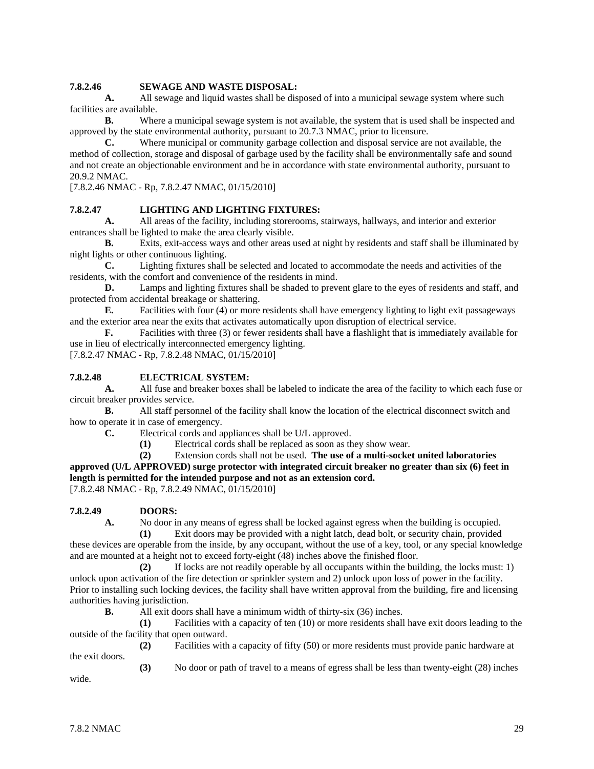#### **7.8.2.46 SEWAGE AND WASTE DISPOSAL:**

**A.** All sewage and liquid wastes shall be disposed of into a municipal sewage system where such facilities are available.

**B.** Where a municipal sewage system is not available, the system that is used shall be inspected and approved by the state environmental authority, pursuant to 20.7.3 NMAC, prior to licensure.

**C.** Where municipal or community garbage collection and disposal service are not available, the method of collection, storage and disposal of garbage used by the facility shall be environmentally safe and sound and not create an objectionable environment and be in accordance with state environmental authority, pursuant to 20.9.2 NMAC.

[7.8.2.46 NMAC - Rp, 7.8.2.47 NMAC, 01/15/2010]

#### **7.8.2.47 LIGHTING AND LIGHTING FIXTURES:**

**A.** All areas of the facility, including storerooms, stairways, hallways, and interior and exterior entrances shall be lighted to make the area clearly visible.

**B.** Exits, exit-access ways and other areas used at night by residents and staff shall be illuminated by night lights or other continuous lighting.

**C.** Lighting fixtures shall be selected and located to accommodate the needs and activities of the residents, with the comfort and convenience of the residents in mind.

**D.** Lamps and lighting fixtures shall be shaded to prevent glare to the eyes of residents and staff, and protected from accidental breakage or shattering.

**E.** Facilities with four (4) or more residents shall have emergency lighting to light exit passageways and the exterior area near the exits that activates automatically upon disruption of electrical service.

**F.** Facilities with three (3) or fewer residents shall have a flashlight that is immediately available for use in lieu of electrically interconnected emergency lighting.

[7.8.2.47 NMAC - Rp, 7.8.2.48 NMAC, 01/15/2010]

#### **7.8.2.48 ELECTRICAL SYSTEM:**

**A.** All fuse and breaker boxes shall be labeled to indicate the area of the facility to which each fuse or circuit breaker provides service.

**B.** All staff personnel of the facility shall know the location of the electrical disconnect switch and how to operate it in case of emergency.

**C.** Electrical cords and appliances shall be U/L approved.

**(1)** Electrical cords shall be replaced as soon as they show wear.

**(2)** Extension cords shall not be used. **The use of a multi-socket united laboratories** 

**approved (U/L APPROVED) surge protector with integrated circuit breaker no greater than six (6) feet in length is permitted for the intended purpose and not as an extension cord.**

[7.8.2.48 NMAC - Rp, 7.8.2.49 NMAC, 01/15/2010]

#### **7.8.2.49 DOORS:**

**A.** No door in any means of egress shall be locked against egress when the building is occupied.

**(1)** Exit doors may be provided with a night latch, dead bolt, or security chain, provided these devices are operable from the inside, by any occupant, without the use of a key, tool, or any special knowledge and are mounted at a height not to exceed forty-eight (48) inches above the finished floor.

**(2)** If locks are not readily operable by all occupants within the building, the locks must: 1) unlock upon activation of the fire detection or sprinkler system and 2) unlock upon loss of power in the facility. Prior to installing such locking devices, the facility shall have written approval from the building, fire and licensing authorities having jurisdiction.

**B.** All exit doors shall have a minimum width of thirty-six (36) inches.

**(1)** Facilities with a capacity of ten (10) or more residents shall have exit doors leading to the outside of the facility that open outward.

**(2)** Facilities with a capacity of fifty (50) or more residents must provide panic hardware at the exit doors.

**(3)** No door or path of travel to a means of egress shall be less than twenty-eight (28) inches

wide.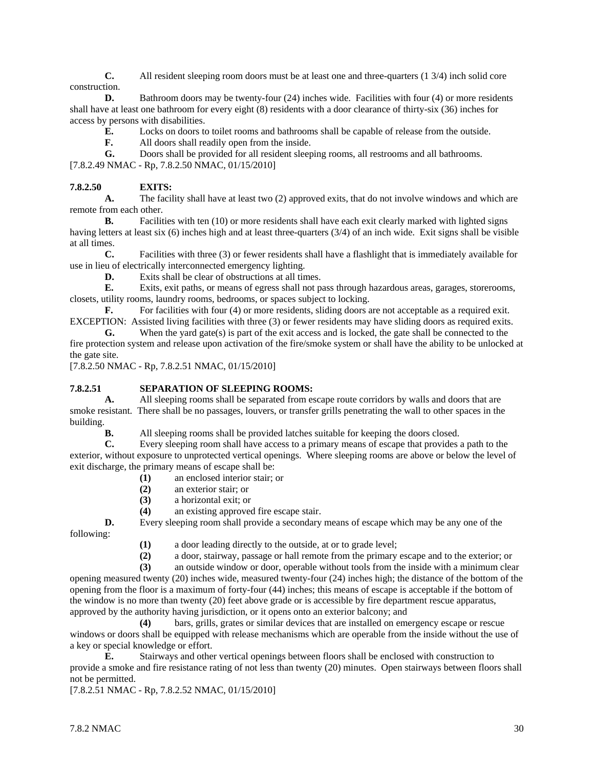**C.** All resident sleeping room doors must be at least one and three-quarters (1 3/4) inch solid core construction.

**D.** Bathroom doors may be twenty-four (24) inches wide. Facilities with four (4) or more residents shall have at least one bathroom for every eight (8) residents with a door clearance of thirty-six (36) inches for access by persons with disabilities.

**E.** Locks on doors to toilet rooms and bathrooms shall be capable of release from the outside.

**F.** All doors shall readily open from the inside.

**G.** Doors shall be provided for all resident sleeping rooms, all restrooms and all bathrooms. [7.8.2.49 NMAC - Rp, 7.8.2.50 NMAC, 01/15/2010]

### **7.8.2.50 EXITS:**

**A.** The facility shall have at least two (2) approved exits, that do not involve windows and which are remote from each other.

**B.** Facilities with ten (10) or more residents shall have each exit clearly marked with lighted signs having letters at least six (6) inches high and at least three-quarters (3/4) of an inch wide. Exit signs shall be visible at all times.

**C.** Facilities with three (3) or fewer residents shall have a flashlight that is immediately available for use in lieu of electrically interconnected emergency lighting.

**D.** Exits shall be clear of obstructions at all times.

**E.** Exits, exit paths, or means of egress shall not pass through hazardous areas, garages, storerooms, closets, utility rooms, laundry rooms, bedrooms, or spaces subject to locking.

**F.** For facilities with four (4) or more residents, sliding doors are not acceptable as a required exit. EXCEPTION: Assisted living facilities with three (3) or fewer residents may have sliding doors as required exits.

**G.** When the yard gate(s) is part of the exit access and is locked, the gate shall be connected to the fire protection system and release upon activation of the fire/smoke system or shall have the ability to be unlocked at the gate site.

[7.8.2.50 NMAC - Rp, 7.8.2.51 NMAC, 01/15/2010]

#### **7.8.2.51 SEPARATION OF SLEEPING ROOMS:**

**A.** All sleeping rooms shall be separated from escape route corridors by walls and doors that are smoke resistant. There shall be no passages, louvers, or transfer grills penetrating the wall to other spaces in the building.

**B.** All sleeping rooms shall be provided latches suitable for keeping the doors closed.

**C.** Every sleeping room shall have access to a primary means of escape that provides a path to the exterior, without exposure to unprotected vertical openings. Where sleeping rooms are above or below the level of exit discharge, the primary means of escape shall be:

- **(1)** an enclosed interior stair; or
- **(2)** an exterior stair; or
- **(3)** a horizontal exit; or
- **(4)** an existing approved fire escape stair.

**D.** Every sleeping room shall provide a secondary means of escape which may be any one of the following:

- **(1)** a door leading directly to the outside, at or to grade level;
- **(2)** a door, stairway, passage or hall remote from the primary escape and to the exterior; or

**(3)** an outside window or door, operable without tools from the inside with a minimum clear opening measured twenty (20) inches wide, measured twenty-four (24) inches high; the distance of the bottom of the opening from the floor is a maximum of forty-four (44) inches; this means of escape is acceptable if the bottom of the window is no more than twenty (20) feet above grade or is accessible by fire department rescue apparatus, approved by the authority having jurisdiction, or it opens onto an exterior balcony; and

**(4)** bars, grills, grates or similar devices that are installed on emergency escape or rescue windows or doors shall be equipped with release mechanisms which are operable from the inside without the use of a key or special knowledge or effort.

**E.** Stairways and other vertical openings between floors shall be enclosed with construction to provide a smoke and fire resistance rating of not less than twenty (20) minutes. Open stairways between floors shall not be permitted.

[7.8.2.51 NMAC - Rp, 7.8.2.52 NMAC, 01/15/2010]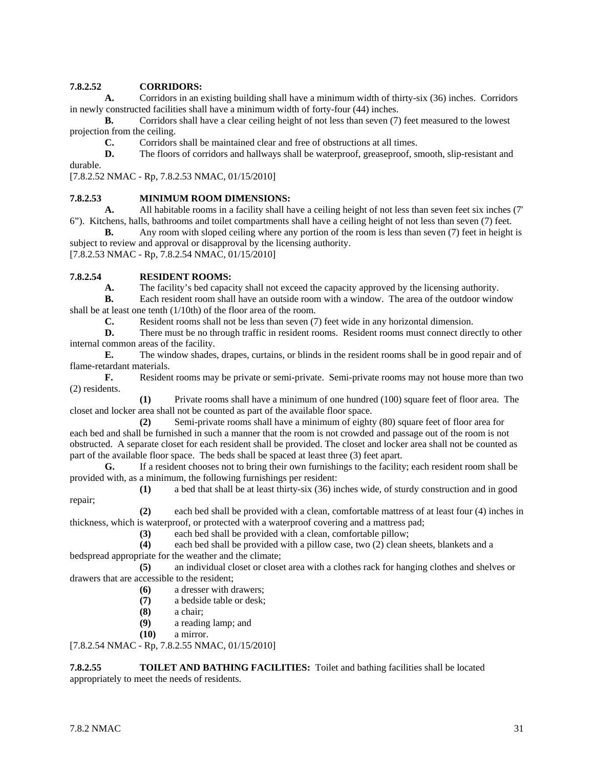# **7.8.2.52 CORRIDORS:**

**A.** Corridors in an existing building shall have a minimum width of thirty-six (36) inches. Corridors in newly constructed facilities shall have a minimum width of forty-four (44) inches.

**B.** Corridors shall have a clear ceiling height of not less than seven (7) feet measured to the lowest projection from the ceiling.

**C.** Corridors shall be maintained clear and free of obstructions at all times.

**D.** The floors of corridors and hallways shall be waterproof, greaseproof, smooth, slip-resistant and

durable.

[7.8.2.52 NMAC - Rp, 7.8.2.53 NMAC, 01/15/2010]

# **7.8.2.53 MINIMUM ROOM DIMENSIONS:**<br>**A.** All habitable rooms in a facility shall h

**A.** All habitable rooms in a facility shall have a ceiling height of not less than seven feet six inches (7' 6"). Kitchens, halls, bathrooms and toilet compartments shall have a ceiling height of not less than seven (7) feet.

**B.** Any room with sloped ceiling where any portion of the room is less than seven (7) feet in height is subject to review and approval or disapproval by the licensing authority.

[7.8.2.53 NMAC - Rp, 7.8.2.54 NMAC, 01/15/2010]

### **7.8.2.54 RESIDENT ROOMS:**

**A.** The facility's bed capacity shall not exceed the capacity approved by the licensing authority.<br> **B.** Each resident room shall have an outside room with a window. The area of the outdoor wind

**B.** Each resident room shall have an outside room with a window. The area of the outdoor window shall be at least one tenth (1/10th) of the floor area of the room.

**C.** Resident rooms shall not be less than seven (7) feet wide in any horizontal dimension.<br>**D.** There must be no through traffic in resident rooms. Resident rooms must connect dire

There must be no through traffic in resident rooms. Resident rooms must connect directly to other internal common areas of the facility.

**E.** The window shades, drapes, curtains, or blinds in the resident rooms shall be in good repair and of flame-retardant materials.

**F.** Resident rooms may be private or semi-private. Semi-private rooms may not house more than two (2) residents.

**(1)** Private rooms shall have a minimum of one hundred (100) square feet of floor area. The closet and locker area shall not be counted as part of the available floor space.

**(2)** Semi-private rooms shall have a minimum of eighty (80) square feet of floor area for each bed and shall be furnished in such a manner that the room is not crowded and passage out of the room is not obstructed. A separate closet for each resident shall be provided. The closet and locker area shall not be counted as part of the available floor space. The beds shall be spaced at least three (3) feet apart.

**G.** If a resident chooses not to bring their own furnishings to the facility; each resident room shall be provided with, as a minimum, the following furnishings per resident:

**(1)** a bed that shall be at least thirty-six (36) inches wide, of sturdy construction and in good repair;

**(2)** each bed shall be provided with a clean, comfortable mattress of at least four (4) inches in thickness, which is waterproof, or protected with a waterproof covering and a mattress pad;

**(3)** each bed shall be provided with a clean, comfortable pillow;

**(4)** each bed shall be provided with a pillow case, two (2) clean sheets, blankets and a bedspread appropriate for the weather and the climate;

**(5)** an individual closet or closet area with a clothes rack for hanging clothes and shelves or drawers that are accessible to the resident;

- **(6)** a dresser with drawers;
- **(7)** a bedside table or desk;
- **(8)** a chair;
- **(9)** a reading lamp; and
- **(10)** a mirror.

[7.8.2.54 NMAC - Rp, 7.8.2.55 NMAC, 01/15/2010]

#### **7.8.2.55 TOILET AND BATHING FACILITIES:** Toilet and bathing facilities shall be located appropriately to meet the needs of residents.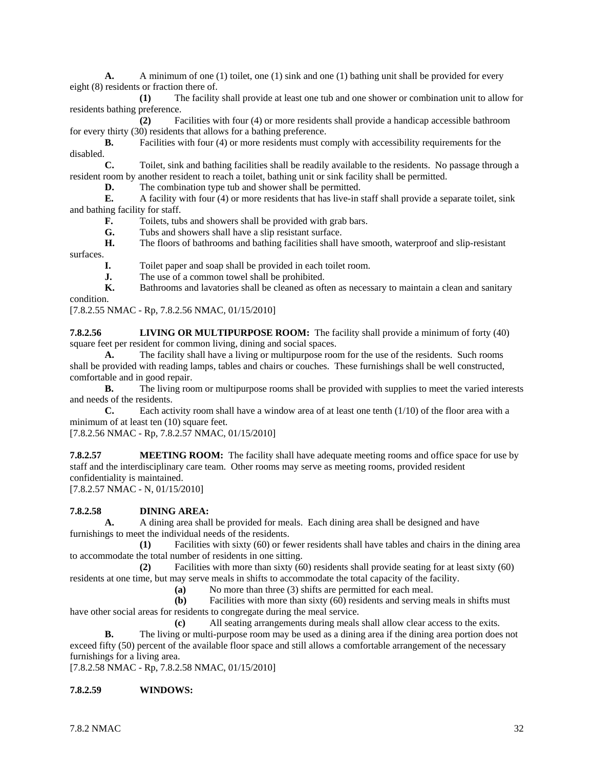**A.** A minimum of one (1) toilet, one (1) sink and one (1) bathing unit shall be provided for every eight (8) residents or fraction there of.

**(1)** The facility shall provide at least one tub and one shower or combination unit to allow for residents bathing preference.

**(2)** Facilities with four (4) or more residents shall provide a handicap accessible bathroom for every thirty (30) residents that allows for a bathing preference.

**B.** Facilities with four (4) or more residents must comply with accessibility requirements for the disabled.

**C.** Toilet, sink and bathing facilities shall be readily available to the residents. No passage through a resident room by another resident to reach a toilet, bathing unit or sink facility shall be permitted.

**D.** The combination type tub and shower shall be permitted.

**E.** A facility with four (4) or more residents that has live-in staff shall provide a separate toilet, sink and bathing facility for staff.

**F.** Toilets, tubs and showers shall be provided with grab bars.

**G.** Tubs and showers shall have a slip resistant surface.<br>**H.** The floors of bathrooms and bathing facilities shall h

**H.** The floors of bathrooms and bathing facilities shall have smooth, waterproof and slip-resistant surfaces.

**I.** Toilet paper and soap shall be provided in each toilet room.

**J.** The use of a common towel shall be prohibited.

**K.** Bathrooms and lavatories shall be cleaned as often as necessary to maintain a clean and sanitary condition.

[7.8.2.55 NMAC - Rp, 7.8.2.56 NMAC, 01/15/2010]

**7.8.2.56 LIVING OR MULTIPURPOSE ROOM:** The facility shall provide a minimum of forty (40) square feet per resident for common living, dining and social spaces.

**A.** The facility shall have a living or multipurpose room for the use of the residents. Such rooms shall be provided with reading lamps, tables and chairs or couches. These furnishings shall be well constructed, comfortable and in good repair.

**B.** The living room or multipurpose rooms shall be provided with supplies to meet the varied interests and needs of the residents.

**C.** Each activity room shall have a window area of at least one tenth (1/10) of the floor area with a minimum of at least ten (10) square feet.

[7.8.2.56 NMAC - Rp, 7.8.2.57 NMAC, 01/15/2010]

**7.8.2.57 MEETING ROOM:** The facility shall have adequate meeting rooms and office space for use by staff and the interdisciplinary care team. Other rooms may serve as meeting rooms, provided resident confidentiality is maintained. [7.8.2.57 NMAC - N, 01/15/2010]

#### **7.8.2.58 DINING AREA:**

**A.** A dining area shall be provided for meals. Each dining area shall be designed and have furnishings to meet the individual needs of the residents.

**(1)** Facilities with sixty (60) or fewer residents shall have tables and chairs in the dining area to accommodate the total number of residents in one sitting.

**(2)** Facilities with more than sixty (60) residents shall provide seating for at least sixty (60) residents at one time, but may serve meals in shifts to accommodate the total capacity of the facility.

**(a)** No more than three (3) shifts are permitted for each meal.

**(b)** Facilities with more than sixty (60) residents and serving meals in shifts must have other social areas for residents to congregate during the meal service.

**(c)** All seating arrangements during meals shall allow clear access to the exits.

**B.** The living or multi-purpose room may be used as a dining area if the dining area portion does not exceed fifty (50) percent of the available floor space and still allows a comfortable arrangement of the necessary furnishings for a living area.

[7.8.2.58 NMAC - Rp, 7.8.2.58 NMAC, 01/15/2010]

#### **7.8.2.59 WINDOWS:**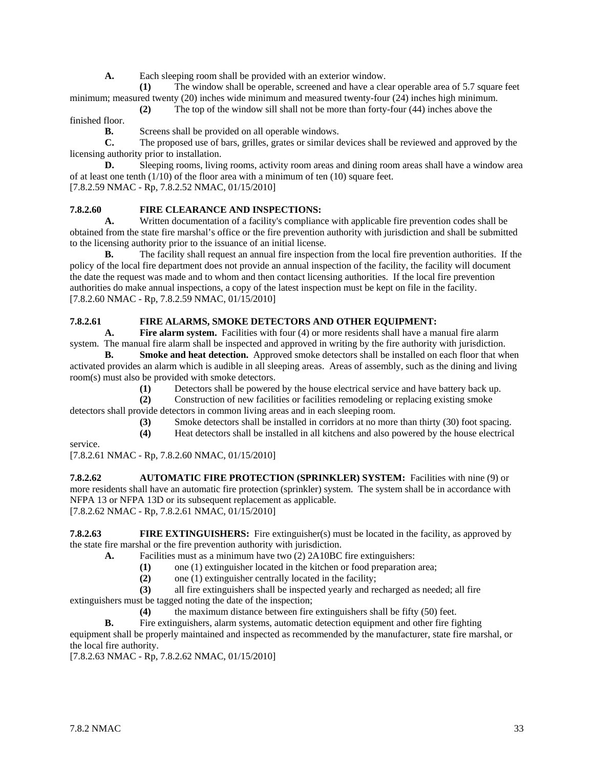**A.** Each sleeping room shall be provided with an exterior window.

**(1)** The window shall be operable, screened and have a clear operable area of 5.7 square feet minimum; measured twenty (20) inches wide minimum and measured twenty-four (24) inches high minimum.

**(2)** The top of the window sill shall not be more than forty-four (44) inches above the finished floor.

**B.** Screens shall be provided on all operable windows.

**C.** The proposed use of bars, grilles, grates or similar devices shall be reviewed and approved by the licensing authority prior to installation.

**D.** Sleeping rooms, living rooms, activity room areas and dining room areas shall have a window area of at least one tenth (1/10) of the floor area with a minimum of ten (10) square feet. [7.8.2.59 NMAC - Rp, 7.8.2.52 NMAC, 01/15/2010]

# **7.8.2.60 FIRE CLEARANCE AND INSPECTIONS:**

**A.** Written documentation of a facility's compliance with applicable fire prevention codes shall be obtained from the state fire marshal's office or the fire prevention authority with jurisdiction and shall be submitted to the licensing authority prior to the issuance of an initial license.

**B.** The facility shall request an annual fire inspection from the local fire prevention authorities. If the policy of the local fire department does not provide an annual inspection of the facility, the facility will document the date the request was made and to whom and then contact licensing authorities. If the local fire prevention authorities do make annual inspections, a copy of the latest inspection must be kept on file in the facility. [7.8.2.60 NMAC - Rp, 7.8.2.59 NMAC, 01/15/2010]

# **7.8.2.61 FIRE ALARMS, SMOKE DETECTORS AND OTHER EQUIPMENT:**

**A. Fire alarm system.** Facilities with four (4) or more residents shall have a manual fire alarm system. The manual fire alarm shall be inspected and approved in writing by the fire authority with jurisdiction.

**B. Smoke and heat detection.** Approved smoke detectors shall be installed on each floor that when activated provides an alarm which is audible in all sleeping areas. Areas of assembly, such as the dining and living room(s) must also be provided with smoke detectors.

**(1)** Detectors shall be powered by the house electrical service and have battery back up.

**(2)** Construction of new facilities or facilities remodeling or replacing existing smoke detectors shall provide detectors in common living areas and in each sleeping room.

**(3)** Smoke detectors shall be installed in corridors at no more than thirty (30) foot spacing.

**(4)** Heat detectors shall be installed in all kitchens and also powered by the house electrical

service.

[7.8.2.61 NMAC - Rp, 7.8.2.60 NMAC, 01/15/2010]

**7.8.2.62 AUTOMATIC FIRE PROTECTION (SPRINKLER) SYSTEM:** Facilities with nine (9) or more residents shall have an automatic fire protection (sprinkler) system. The system shall be in accordance with NFPA 13 or NFPA 13D or its subsequent replacement as applicable. [7.8.2.62 NMAC - Rp, 7.8.2.61 NMAC, 01/15/2010]

**7.8.2.63 FIRE EXTINGUISHERS:** Fire extinguisher(s) must be located in the facility, as approved by the state fire marshal or the fire prevention authority with jurisdiction.

**A.** Facilities must as a minimum have two (2) 2A10BC fire extinguishers:

**(1)** one (1) extinguisher located in the kitchen or food preparation area;

**(2)** one (1) extinguisher centrally located in the facility;

**(3)** all fire extinguishers shall be inspected yearly and recharged as needed; all fire extinguishers must be tagged noting the date of the inspection;

**(4)** the maximum distance between fire extinguishers shall be fifty (50) feet.

**B.** Fire extinguishers, alarm systems, automatic detection equipment and other fire fighting equipment shall be properly maintained and inspected as recommended by the manufacturer, state fire marshal, or the local fire authority.

[7.8.2.63 NMAC - Rp, 7.8.2.62 NMAC, 01/15/2010]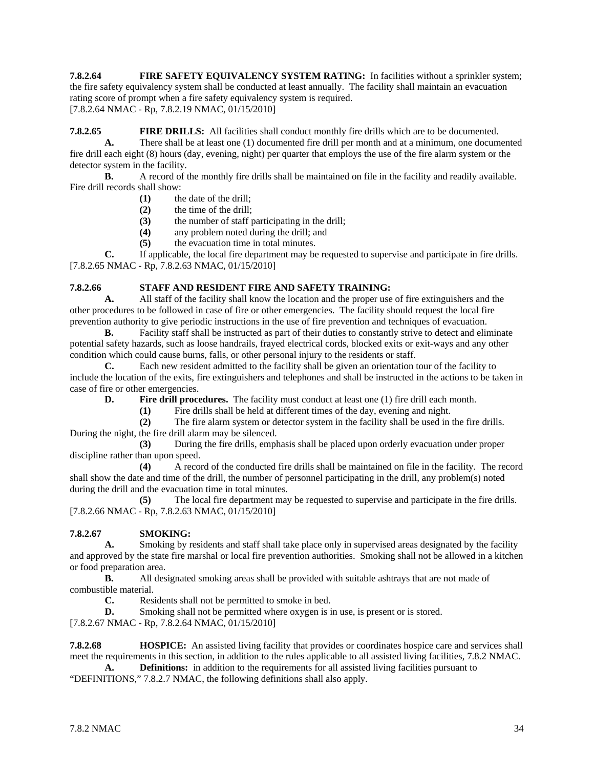**7.8.2.64 FIRE SAFETY EQUIVALENCY SYSTEM RATING:** In facilities without a sprinkler system; the fire safety equivalency system shall be conducted at least annually. The facility shall maintain an evacuation rating score of prompt when a fire safety equivalency system is required. [7.8.2.64 NMAC - Rp, 7.8.2.19 NMAC, 01/15/2010]

**7.8.2.65 FIRE DRILLS:** All facilities shall conduct monthly fire drills which are to be documented. **A.** There shall be at least one (1) documented fire drill per month and at a minimum, one documented fire drill each eight (8) hours (day, evening, night) per quarter that employs the use of the fire alarm system or the detector system in the facility.

**B.** A record of the monthly fire drills shall be maintained on file in the facility and readily available. Fire drill records shall show:

- (1) the date of the drill;<br>(2) the time of the drill;
- **(2)** the time of the drill;
- **(3)** the number of staff participating in the drill;
- **(4)** any problem noted during the drill; and
- **(5)** the evacuation time in total minutes.

**C.** If applicable, the local fire department may be requested to supervise and participate in fire drills. [7.8.2.65 NMAC - Rp, 7.8.2.63 NMAC, 01/15/2010]

# **7.8.2.66 STAFF AND RESIDENT FIRE AND SAFETY TRAINING:**<br>**A.** All staff of the facility shall know the location and the proper use

**A.** All staff of the facility shall know the location and the proper use of fire extinguishers and the other procedures to be followed in case of fire or other emergencies. The facility should request the local fire prevention authority to give periodic instructions in the use of fire prevention and techniques of evacuation.

**B.** Facility staff shall be instructed as part of their duties to constantly strive to detect and eliminate potential safety hazards, such as loose handrails, frayed electrical cords, blocked exits or exit-ways and any other condition which could cause burns, falls, or other personal injury to the residents or staff.

**C.** Each new resident admitted to the facility shall be given an orientation tour of the facility to include the location of the exits, fire extinguishers and telephones and shall be instructed in the actions to be taken in case of fire or other emergencies.

**D. Fire drill procedures.** The facility must conduct at least one (1) fire drill each month.

**(1)** Fire drills shall be held at different times of the day, evening and night.

**(2)** The fire alarm system or detector system in the facility shall be used in the fire drills.

During the night, the fire drill alarm may be silenced.

**(3)** During the fire drills, emphasis shall be placed upon orderly evacuation under proper discipline rather than upon speed.

**(4)** A record of the conducted fire drills shall be maintained on file in the facility. The record shall show the date and time of the drill, the number of personnel participating in the drill, any problem(s) noted during the drill and the evacuation time in total minutes.

**(5)** The local fire department may be requested to supervise and participate in the fire drills. [7.8.2.66 NMAC - Rp, 7.8.2.63 NMAC, 01/15/2010]

# **7.8.2.67 SMOKING:**

**A.** Smoking by residents and staff shall take place only in supervised areas designated by the facility and approved by the state fire marshal or local fire prevention authorities. Smoking shall not be allowed in a kitchen or food preparation area.

**B.** All designated smoking areas shall be provided with suitable ashtrays that are not made of combustible material.

**C.** Residents shall not be permitted to smoke in bed.

**D.** Smoking shall not be permitted where oxygen is in use, is present or is stored.

[7.8.2.67 NMAC - Rp, 7.8.2.64 NMAC, 01/15/2010]

**7.8.2.68 HOSPICE:** An assisted living facility that provides or coordinates hospice care and services shall meet the requirements in this section, in addition to the rules applicable to all assisted living facilities, 7.8.2 NMAC.

**A. Definitions:** in addition to the requirements for all assisted living facilities pursuant to "DEFINITIONS," 7.8.2.7 NMAC, the following definitions shall also apply.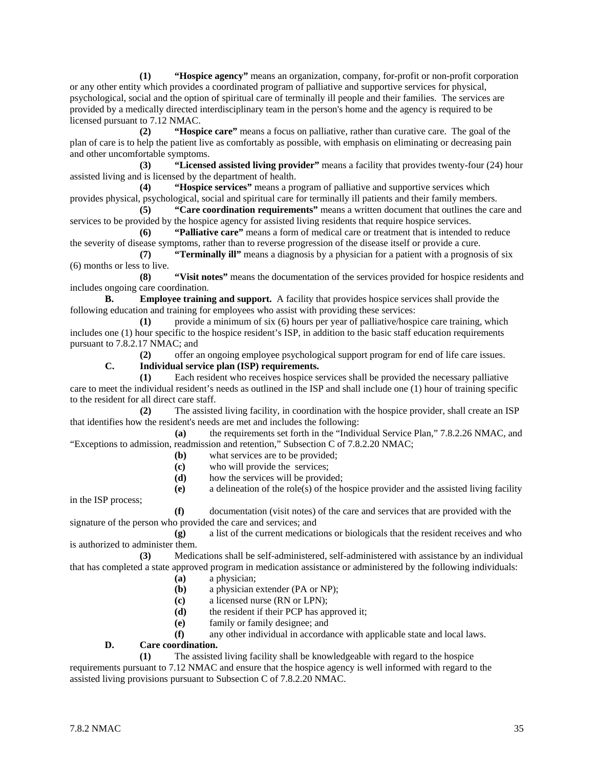**(1) "Hospice agency"** means an organization, company, for-profit or non-profit corporation or any other entity which provides a coordinated program of palliative and supportive services for physical, psychological, social and the option of spiritual care of terminally ill people and their families. The services are provided by a medically directed interdisciplinary team in the person's home and the agency is required to be licensed pursuant to 7.12 NMAC.

**(2) "Hospice care"** means a focus on palliative, rather than curative care. The goal of the plan of care is to help the patient live as comfortably as possible, with emphasis on eliminating or decreasing pain and other uncomfortable symptoms.

**(3) "Licensed assisted living provider"** means a facility that provides twenty-four (24) hour assisted living and is licensed by the department of health.

**(4) "Hospice services"** means a program of palliative and supportive services which provides physical, psychological, social and spiritual care for terminally ill patients and their family members.

**(5) "Care coordination requirements"** means a written document that outlines the care and services to be provided by the hospice agency for assisted living residents that require hospice services.

**(6) "Palliative care"** means a form of medical care or treatment that is intended to reduce the severity of disease symptoms, rather than to reverse progression of the disease itself or provide a cure.

**(7) "Terminally ill"** means a diagnosis by a physician for a patient with a prognosis of six (6) months or less to live.

**(8) "Visit notes"** means the documentation of the services provided for hospice residents and includes ongoing care coordination.

**B. Employee training and support.** A facility that provides hospice services shall provide the following education and training for employees who assist with providing these services:

**(1)** provide a minimum of six (6) hours per year of palliative/hospice care training, which includes one (1) hour specific to the hospice resident's ISP, in addition to the basic staff education requirements pursuant to 7.8.2.17 NMAC; and

**(2)** offer an ongoing employee psychological support program for end of life care issues.

#### **C. Individual service plan (ISP) requirements.**

**(1)** Each resident who receives hospice services shall be provided the necessary palliative care to meet the individual resident's needs as outlined in the ISP and shall include one (1) hour of training specific to the resident for all direct care staff.

**(2)** The assisted living facility, in coordination with the hospice provider, shall create an ISP that identifies how the resident's needs are met and includes the following:

**(a)** the requirements set forth in the "Individual Service Plan," 7.8.2.26 NMAC, and "Exceptions to admission, readmission and retention," Subsection C of 7.8.2.20 NMAC;

- **(b)** what services are to be provided;
- **(c)** who will provide the services;
- **(d)** how the services will be provided;
- **(e)** a delineation of the role(s) of the hospice provider and the assisted living facility

in the ISP process;

**(f)** documentation (visit notes) of the care and services that are provided with the signature of the person who provided the care and services; and

**(g)** a list of the current medications or biologicals that the resident receives and who is authorized to administer them.

**(3)** Medications shall be self-administered, self-administered with assistance by an individual that has completed a state approved program in medication assistance or administered by the following individuals:

- **(a)** a physician;
- **(b)** a physician extender (PA or NP);
- **(c)** a licensed nurse (RN or LPN);
- **(d)** the resident if their PCP has approved it;
- **(e)** family or family designee; and
- **(f)** any other individual in accordance with applicable state and local laws.

# **D. Care coordination.**

**(1)** The assisted living facility shall be knowledgeable with regard to the hospice requirements pursuant to 7.12 NMAC and ensure that the hospice agency is well informed with regard to the assisted living provisions pursuant to Subsection C of 7.8.2.20 NMAC.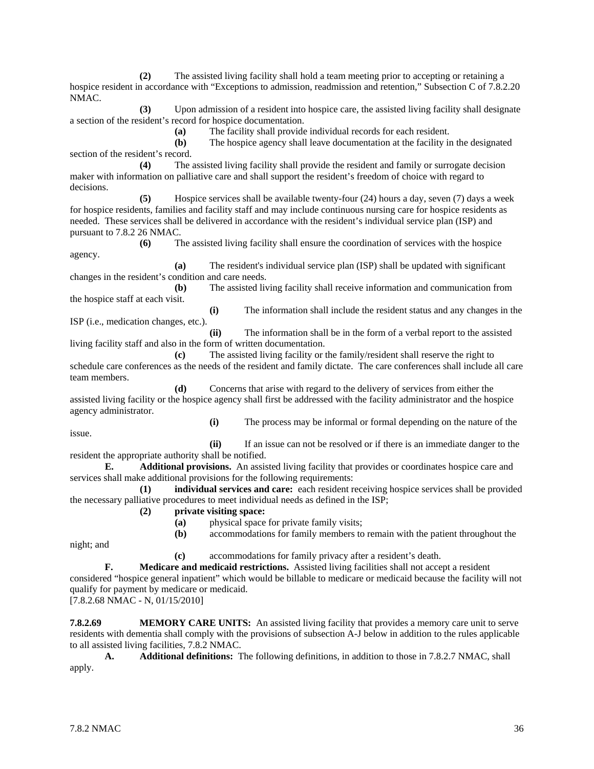**(2)** The assisted living facility shall hold a team meeting prior to accepting or retaining a hospice resident in accordance with "Exceptions to admission, readmission and retention," Subsection C of 7.8.2.20 NMAC.

**(3)** Upon admission of a resident into hospice care, the assisted living facility shall designate a section of the resident's record for hospice documentation.

**(a)** The facility shall provide individual records for each resident.

**(b)** The hospice agency shall leave documentation at the facility in the designated section of the resident's record.

**(4)** The assisted living facility shall provide the resident and family or surrogate decision maker with information on palliative care and shall support the resident's freedom of choice with regard to decisions.

**(5)** Hospice services shall be available twenty-four (24) hours a day, seven (7) days a week for hospice residents, families and facility staff and may include continuous nursing care for hospice residents as needed. These services shall be delivered in accordance with the resident's individual service plan (ISP) and pursuant to 7.8.2 26 NMAC.

**(6)** The assisted living facility shall ensure the coordination of services with the hospice agency.

**(a)** The resident's individual service plan (ISP) shall be updated with significant changes in the resident's condition and care needs.

**(b)** The assisted living facility shall receive information and communication from the hospice staff at each visit.

**(i)** The information shall include the resident status and any changes in the ISP (i.e., medication changes, etc.).

**(ii)** The information shall be in the form of a verbal report to the assisted living facility staff and also in the form of written documentation.

**(c)** The assisted living facility or the family/resident shall reserve the right to schedule care conferences as the needs of the resident and family dictate. The care conferences shall include all care team members.

**(d)** Concerns that arise with regard to the delivery of services from either the assisted living facility or the hospice agency shall first be addressed with the facility administrator and the hospice agency administrator.

issue.

**(i)** The process may be informal or formal depending on the nature of the

**(ii)** If an issue can not be resolved or if there is an immediate danger to the resident the appropriate authority shall be notified.

**E. Additional provisions.** An assisted living facility that provides or coordinates hospice care and services shall make additional provisions for the following requirements:

**(1) individual services and care:** each resident receiving hospice services shall be provided the necessary palliative procedures to meet individual needs as defined in the ISP;

- **(2) private visiting space:**
	- **(a)** physical space for private family visits;
	- **(b)** accommodations for family members to remain with the patient throughout the

night; and

**(c)** accommodations for family privacy after a resident's death.

**F. Medicare and medicaid restrictions.** Assisted living facilities shall not accept a resident considered "hospice general inpatient" which would be billable to medicare or medicaid because the facility will not qualify for payment by medicare or medicaid.

[7.8.2.68 NMAC - N, 01/15/2010]

**7.8.2.69 MEMORY CARE UNITS:** An assisted living facility that provides a memory care unit to serve residents with dementia shall comply with the provisions of subsection A-J below in addition to the rules applicable to all assisted living facilities, 7.8.2 NMAC.

**A. Additional definitions:** The following definitions, in addition to those in 7.8.2.7 NMAC, shall apply.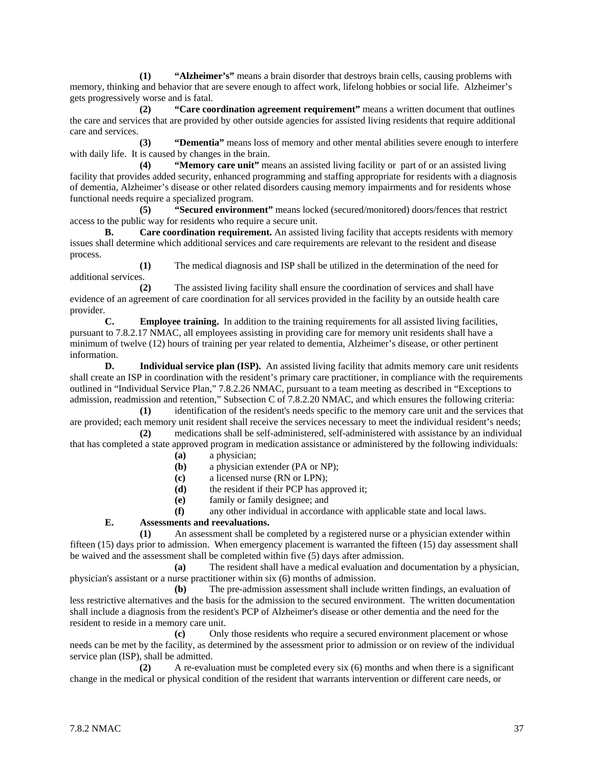**(1) "Alzheimer's"** means a brain disorder that destroys brain cells, causing problems with memory, thinking and behavior that are severe enough to affect work, lifelong hobbies or social life. Alzheimer's gets progressively worse and is fatal.

**(2) "Care coordination agreement requirement"** means a written document that outlines the care and services that are provided by other outside agencies for assisted living residents that require additional care and services.

**(3) "Dementia"** means loss of memory and other mental abilities severe enough to interfere with daily life. It is caused by changes in the brain.

**(4) "Memory care unit"** means an assisted living facility or part of or an assisted living facility that provides added security, enhanced programming and staffing appropriate for residents with a diagnosis of dementia, Alzheimer's disease or other related disorders causing memory impairments and for residents whose functional needs require a specialized program.

**(5) "Secured environment"** means locked (secured/monitored) doors/fences that restrict access to the public way for residents who require a secure unit.

**B. Care coordination requirement.** An assisted living facility that accepts residents with memory issues shall determine which additional services and care requirements are relevant to the resident and disease process.

**(1)** The medical diagnosis and ISP shall be utilized in the determination of the need for additional services.

**(2)** The assisted living facility shall ensure the coordination of services and shall have evidence of an agreement of care coordination for all services provided in the facility by an outside health care provider.

**C. Employee training.** In addition to the training requirements for all assisted living facilities, pursuant to 7.8.2.17 NMAC, all employees assisting in providing care for memory unit residents shall have a minimum of twelve (12) hours of training per year related to dementia, Alzheimer's disease, or other pertinent information.

**D. Individual service plan (ISP).** An assisted living facility that admits memory care unit residents shall create an ISP in coordination with the resident's primary care practitioner, in compliance with the requirements outlined in "Individual Service Plan," 7.8.2.26 NMAC, pursuant to a team meeting as described in "Exceptions to admission, readmission and retention," Subsection C of 7.8.2.20 NMAC, and which ensures the following criteria:

**(1)** identification of the resident's needs specific to the memory care unit and the services that are provided; each memory unit resident shall receive the services necessary to meet the individual resident's needs; **(2)** medications shall be self-administered, self-administered with assistance by an individual

that has completed a state approved program in medication assistance or administered by the following individuals:

- **(a)** a physician;
- **(b)** a physician extender (PA or NP);
- **(c)** a licensed nurse (RN or LPN);
- **(d)** the resident if their PCP has approved it;
- **(e)** family or family designee; and

**(f)** any other individual in accordance with applicable state and local laws.

# **E. Assessments and reevaluations.**

**(1)** An assessment shall be completed by a registered nurse or a physician extender within fifteen (15) days prior to admission. When emergency placement is warranted the fifteen (15) day assessment shall be waived and the assessment shall be completed within five (5) days after admission.

**(a)** The resident shall have a medical evaluation and documentation by a physician, physician's assistant or a nurse practitioner within six (6) months of admission.

**(b)** The pre-admission assessment shall include written findings, an evaluation of less restrictive alternatives and the basis for the admission to the secured environment. The written documentation shall include a diagnosis from the resident's PCP of Alzheimer's disease or other dementia and the need for the resident to reside in a memory care unit.

**(c)** Only those residents who require a secured environment placement or whose needs can be met by the facility, as determined by the assessment prior to admission or on review of the individual service plan (ISP), shall be admitted.

**(2)** A re-evaluation must be completed every six (6) months and when there is a significant change in the medical or physical condition of the resident that warrants intervention or different care needs, or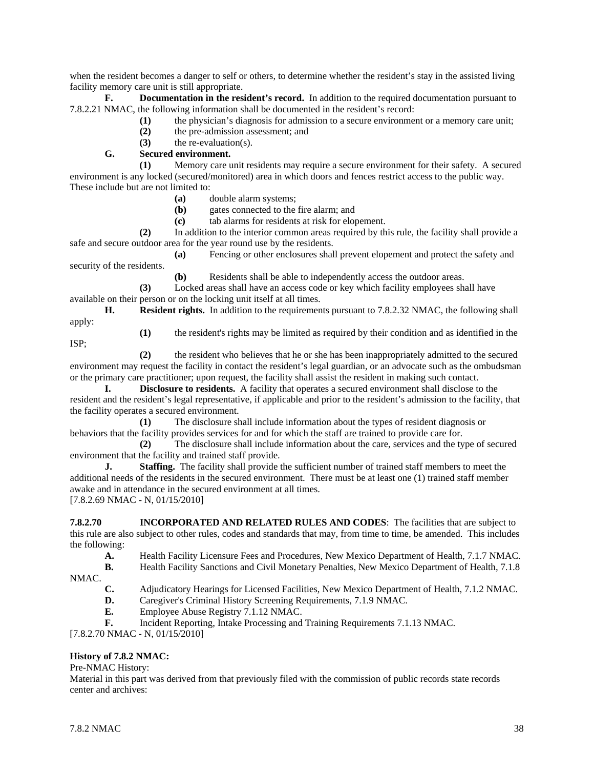when the resident becomes a danger to self or others, to determine whether the resident's stay in the assisted living facility memory care unit is still appropriate.

**F. Documentation in the resident's record.** In addition to the required documentation pursuant to 7.8.2.21 NMAC, the following information shall be documented in the resident's record:

- **(1)** the physician's diagnosis for admission to a secure environment or a memory care unit;
- **(2)** the pre-admission assessment; and

**(3)** the re-evaluation(s).

**G. Secured environment.**

**(1)** Memory care unit residents may require a secure environment for their safety. A secured environment is any locked (secured/monitored) area in which doors and fences restrict access to the public way. These include but are not limited to:

- **(a)** double alarm systems;
- **(b)** gates connected to the fire alarm; and

**(c)** tab alarms for residents at risk for elopement.

**(2)** In addition to the interior common areas required by this rule, the facility shall provide a safe and secure outdoor area for the year round use by the residents.

**(a)** Fencing or other enclosures shall prevent elopement and protect the safety and security of the residents.

**(b)** Residents shall be able to independently access the outdoor areas.

**(3)** Locked areas shall have an access code or key which facility employees shall have available on their person or on the locking unit itself at all times.

**H. Resident rights.** In addition to the requirements pursuant to 7.8.2.32 NMAC, the following shall apply:

ISP;

**(1)** the resident's rights may be limited as required by their condition and as identified in the

**(2)** the resident who believes that he or she has been inappropriately admitted to the secured environment may request the facility in contact the resident's legal guardian, or an advocate such as the ombudsman or the primary care practitioner; upon request, the facility shall assist the resident in making such contact.

**I. Disclosure to residents.** A facility that operates a secured environment shall disclose to the resident and the resident's legal representative, if applicable and prior to the resident's admission to the facility, that the facility operates a secured environment.

**(1)** The disclosure shall include information about the types of resident diagnosis or behaviors that the facility provides services for and for which the staff are trained to provide care for.

**(2)** The disclosure shall include information about the care, services and the type of secured environment that the facility and trained staff provide.

**J. Staffing.** The facility shall provide the sufficient number of trained staff members to meet the additional needs of the residents in the secured environment. There must be at least one (1) trained staff member awake and in attendance in the secured environment at all times. [7.8.2.69 NMAC - N, 01/15/2010]

**7.8.2.70 INCORPORATED AND RELATED RULES AND CODES:** The facilities that are subject to this rule are also subject to other rules, codes and standards that may, from time to time, be amended. This includes the following:

**A.** Health Facility Licensure Fees and Procedures, New Mexico Department of Health, 7.1.7 NMAC.

- **B.** Health Facility Sanctions and Civil Monetary Penalties, New Mexico Department of Health, 7.1.8
- NMAC.
- **C.** Adjudicatory Hearings for Licensed Facilities, New Mexico Department of Health, 7.1.2 NMAC.
- **D.** Caregiver's Criminal History Screening Requirements, 7.1.9 NMAC.<br> **F.** Employee Abuse Registry 7.1.12 NMAC.
- **E.** Employee Abuse Registry 7.1.12 NMAC.
- **F.** Incident Reporting, Intake Processing and Training Requirements 7.1.13 NMAC.

[7.8.2.70 NMAC - N, 01/15/2010]

#### **History of 7.8.2 NMAC:**

Pre-NMAC History:

Material in this part was derived from that previously filed with the commission of public records state records center and archives: